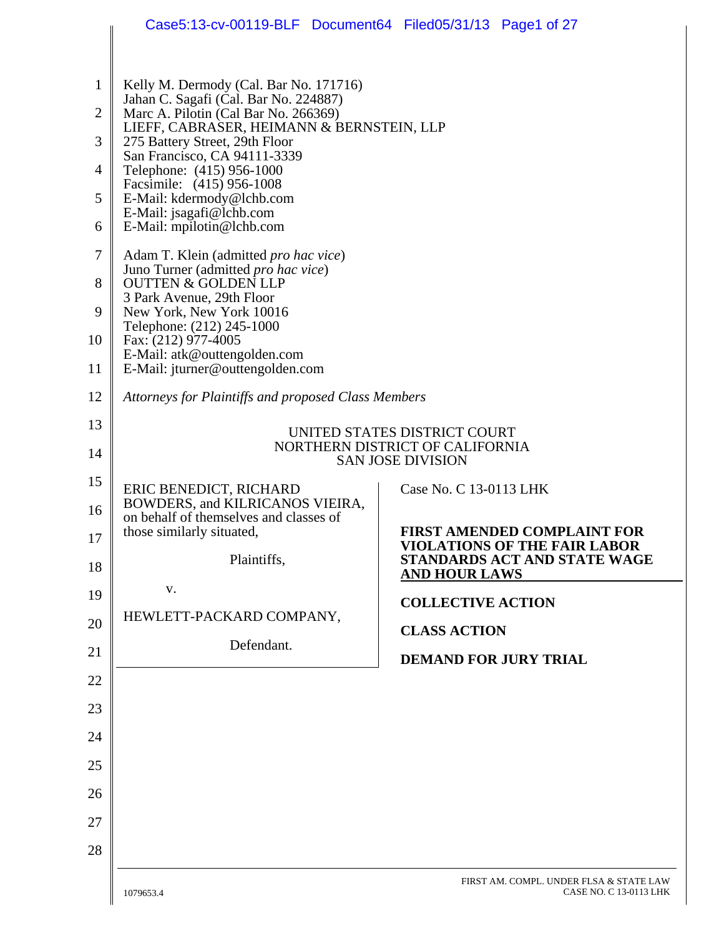|                                                                                                             | Case5:13-cv-00119-BLF Document64 Filed05/31/13 Page1 of 27                                                                                                                                                                                                                                                                                                                                                                                                                                                                                                                                                                                                                                                                                                                                                                                                                           |                                                                                                                                                             |
|-------------------------------------------------------------------------------------------------------------|--------------------------------------------------------------------------------------------------------------------------------------------------------------------------------------------------------------------------------------------------------------------------------------------------------------------------------------------------------------------------------------------------------------------------------------------------------------------------------------------------------------------------------------------------------------------------------------------------------------------------------------------------------------------------------------------------------------------------------------------------------------------------------------------------------------------------------------------------------------------------------------|-------------------------------------------------------------------------------------------------------------------------------------------------------------|
| $\mathbf{1}$<br>$\overline{2}$<br>3<br>4<br>5<br>6<br>7<br>8<br>9<br>10<br>11<br>12<br>13<br>14<br>15<br>16 | Kelly M. Dermody (Cal. Bar No. 171716)<br>Jahan C. Sagafi (Cal. Bar No. 224887)<br>Marc A. Pilotin (Cal Bar No. 266369)<br>LIEFF, CABRASER, HEIMANN & BERNSTEIN, LLP<br>275 Battery Street, 29th Floor<br>San Francisco, CA 94111-3339<br>Telephone: (415) 956-1000<br>Facsimile: (415) 956-1008<br>E-Mail: kdermody@lchb.com<br>E-Mail: jsagafi@lchb.com<br>E-Mail: mpilotin@lchb.com<br>Adam T. Klein (admitted pro hac vice)<br>Juno Turner (admitted pro hac vice)<br><b>OUTTEN &amp; GOLDEN LLP</b><br>3 Park Avenue, 29th Floor<br>New York, New York 10016<br>Telephone: (212) 245-1000<br>Fax: (212) 977-4005<br>E-Mail: atk@outtengolden.com<br>E-Mail: jturner@outtengolden.com<br>Attorneys for Plaintiffs and proposed Class Members<br>ERIC BENEDICT, RICHARD<br>BOWDERS, and KILRICANOS VIEIRA,<br>on behalf of themselves and classes of<br>those similarly situated, | UNITED STATES DISTRICT COURT<br>NORTHERN DISTRICT OF CALIFORNIA<br><b>SAN JOSE DIVISION</b><br>Case No. C 13-0113 LHK<br><b>FIRST AMENDED COMPLAINT FOR</b> |
| 17<br>18                                                                                                    | Plaintiffs,                                                                                                                                                                                                                                                                                                                                                                                                                                                                                                                                                                                                                                                                                                                                                                                                                                                                          | <b>VIOLATIONS OF THE FAIR LABOR</b><br><b>STANDARDS ACT AND STATE WAGE</b>                                                                                  |
| 19                                                                                                          | V.                                                                                                                                                                                                                                                                                                                                                                                                                                                                                                                                                                                                                                                                                                                                                                                                                                                                                   | <b>AND HOUR LAWS</b>                                                                                                                                        |
| 20                                                                                                          | HEWLETT-PACKARD COMPANY,                                                                                                                                                                                                                                                                                                                                                                                                                                                                                                                                                                                                                                                                                                                                                                                                                                                             | <b>COLLECTIVE ACTION</b>                                                                                                                                    |
| 21                                                                                                          | Defendant.                                                                                                                                                                                                                                                                                                                                                                                                                                                                                                                                                                                                                                                                                                                                                                                                                                                                           | <b>CLASS ACTION</b>                                                                                                                                         |
| 22                                                                                                          |                                                                                                                                                                                                                                                                                                                                                                                                                                                                                                                                                                                                                                                                                                                                                                                                                                                                                      | <b>DEMAND FOR JURY TRIAL</b>                                                                                                                                |
| 23                                                                                                          |                                                                                                                                                                                                                                                                                                                                                                                                                                                                                                                                                                                                                                                                                                                                                                                                                                                                                      |                                                                                                                                                             |
| 24                                                                                                          |                                                                                                                                                                                                                                                                                                                                                                                                                                                                                                                                                                                                                                                                                                                                                                                                                                                                                      |                                                                                                                                                             |
| 25                                                                                                          |                                                                                                                                                                                                                                                                                                                                                                                                                                                                                                                                                                                                                                                                                                                                                                                                                                                                                      |                                                                                                                                                             |
| 26                                                                                                          |                                                                                                                                                                                                                                                                                                                                                                                                                                                                                                                                                                                                                                                                                                                                                                                                                                                                                      |                                                                                                                                                             |
| 27                                                                                                          |                                                                                                                                                                                                                                                                                                                                                                                                                                                                                                                                                                                                                                                                                                                                                                                                                                                                                      |                                                                                                                                                             |
| 28                                                                                                          |                                                                                                                                                                                                                                                                                                                                                                                                                                                                                                                                                                                                                                                                                                                                                                                                                                                                                      |                                                                                                                                                             |
|                                                                                                             | 1079653.4                                                                                                                                                                                                                                                                                                                                                                                                                                                                                                                                                                                                                                                                                                                                                                                                                                                                            | FIRST AM. COMPL. UNDER FLSA & STATE LAW<br>CASE NO. C 13-0113 LHK                                                                                           |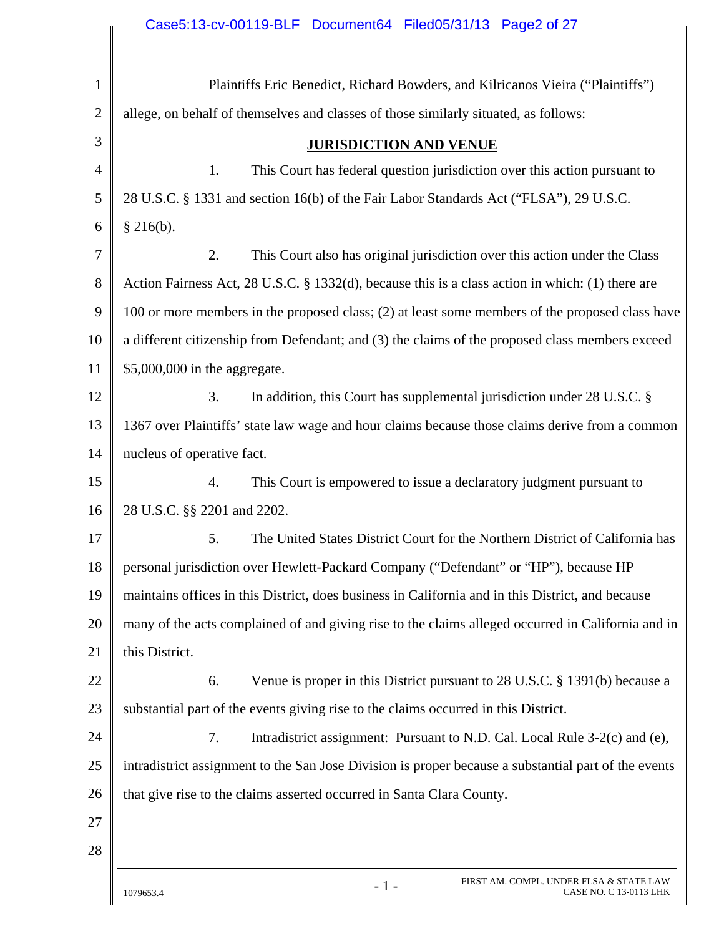|                | Case5:13-cv-00119-BLF Document64 Filed05/31/13 Page2 of 27                                           |
|----------------|------------------------------------------------------------------------------------------------------|
|                |                                                                                                      |
| $\mathbf{1}$   | Plaintiffs Eric Benedict, Richard Bowders, and Kilricanos Vieira ("Plaintiffs")                      |
| $\mathbf{2}$   | allege, on behalf of themselves and classes of those similarly situated, as follows:                 |
| 3              | <b>JURISDICTION AND VENUE</b>                                                                        |
| $\overline{4}$ | This Court has federal question jurisdiction over this action pursuant to<br>1.                      |
| 5              | 28 U.S.C. § 1331 and section 16(b) of the Fair Labor Standards Act ("FLSA"), 29 U.S.C.               |
| 6              | $§$ 216(b).                                                                                          |
| 7              | 2.<br>This Court also has original jurisdiction over this action under the Class                     |
| 8              | Action Fairness Act, 28 U.S.C. § 1332(d), because this is a class action in which: (1) there are     |
| 9              | 100 or more members in the proposed class; (2) at least some members of the proposed class have      |
| 10             | a different citizenship from Defendant; and (3) the claims of the proposed class members exceed      |
| 11             | \$5,000,000 in the aggregate.                                                                        |
| 12             | In addition, this Court has supplemental jurisdiction under 28 U.S.C. §<br>3.                        |
| 13             | 1367 over Plaintiffs' state law wage and hour claims because those claims derive from a common       |
| 14             | nucleus of operative fact.                                                                           |
| 15             | This Court is empowered to issue a declaratory judgment pursuant to<br>4.                            |
| 16             | 28 U.S.C. §§ 2201 and 2202.                                                                          |
| 17             | The United States District Court for the Northern District of California has<br>5.                   |
| 18             | personal jurisdiction over Hewlett-Packard Company ("Defendant" or "HP"), because HP                 |
| 19             | maintains offices in this District, does business in California and in this District, and because    |
| 20             | many of the acts complained of and giving rise to the claims alleged occurred in California and in   |
| 21             | this District.                                                                                       |
| 22             | Venue is proper in this District pursuant to 28 U.S.C. § 1391(b) because a<br>6.                     |
| 23             | substantial part of the events giving rise to the claims occurred in this District.                  |
| 24             | 7.<br>Intradistrict assignment: Pursuant to N.D. Cal. Local Rule 3-2(c) and (e),                     |
| 25             | intradistrict assignment to the San Jose Division is proper because a substantial part of the events |
| 26             | that give rise to the claims asserted occurred in Santa Clara County.                                |
| 27             |                                                                                                      |
| 28             |                                                                                                      |
|                |                                                                                                      |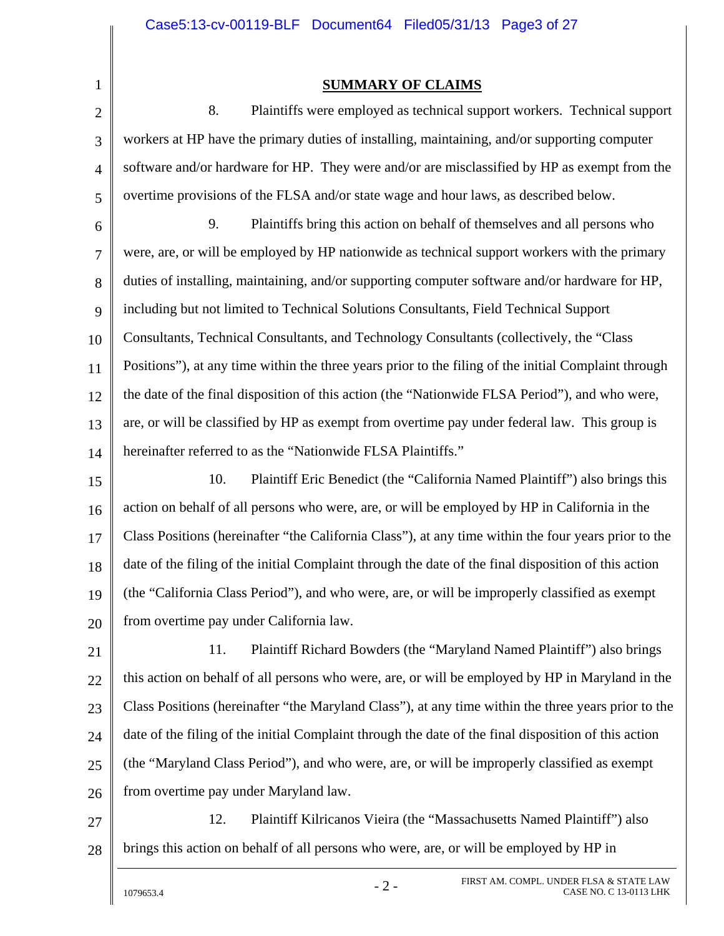1 2

5

#### **SUMMARY OF CLAIMS**

3 4 8. Plaintiffs were employed as technical support workers. Technical support workers at HP have the primary duties of installing, maintaining, and/or supporting computer software and/or hardware for HP. They were and/or are misclassified by HP as exempt from the overtime provisions of the FLSA and/or state wage and hour laws, as described below.

6 7 8 9 10 11 12 13 14 9. Plaintiffs bring this action on behalf of themselves and all persons who were, are, or will be employed by HP nationwide as technical support workers with the primary duties of installing, maintaining, and/or supporting computer software and/or hardware for HP, including but not limited to Technical Solutions Consultants, Field Technical Support Consultants, Technical Consultants, and Technology Consultants (collectively, the "Class Positions"), at any time within the three years prior to the filing of the initial Complaint through the date of the final disposition of this action (the "Nationwide FLSA Period"), and who were, are, or will be classified by HP as exempt from overtime pay under federal law. This group is hereinafter referred to as the "Nationwide FLSA Plaintiffs."

15 16 17 18 19 20 10. Plaintiff Eric Benedict (the "California Named Plaintiff") also brings this action on behalf of all persons who were, are, or will be employed by HP in California in the Class Positions (hereinafter "the California Class"), at any time within the four years prior to the date of the filing of the initial Complaint through the date of the final disposition of this action (the "California Class Period"), and who were, are, or will be improperly classified as exempt from overtime pay under California law.

21 22 23 24 25 26 11. Plaintiff Richard Bowders (the "Maryland Named Plaintiff") also brings this action on behalf of all persons who were, are, or will be employed by HP in Maryland in the Class Positions (hereinafter "the Maryland Class"), at any time within the three years prior to the date of the filing of the initial Complaint through the date of the final disposition of this action (the "Maryland Class Period"), and who were, are, or will be improperly classified as exempt from overtime pay under Maryland law.

27 28 12. Plaintiff Kilricanos Vieira (the "Massachusetts Named Plaintiff") also brings this action on behalf of all persons who were, are, or will be employed by HP in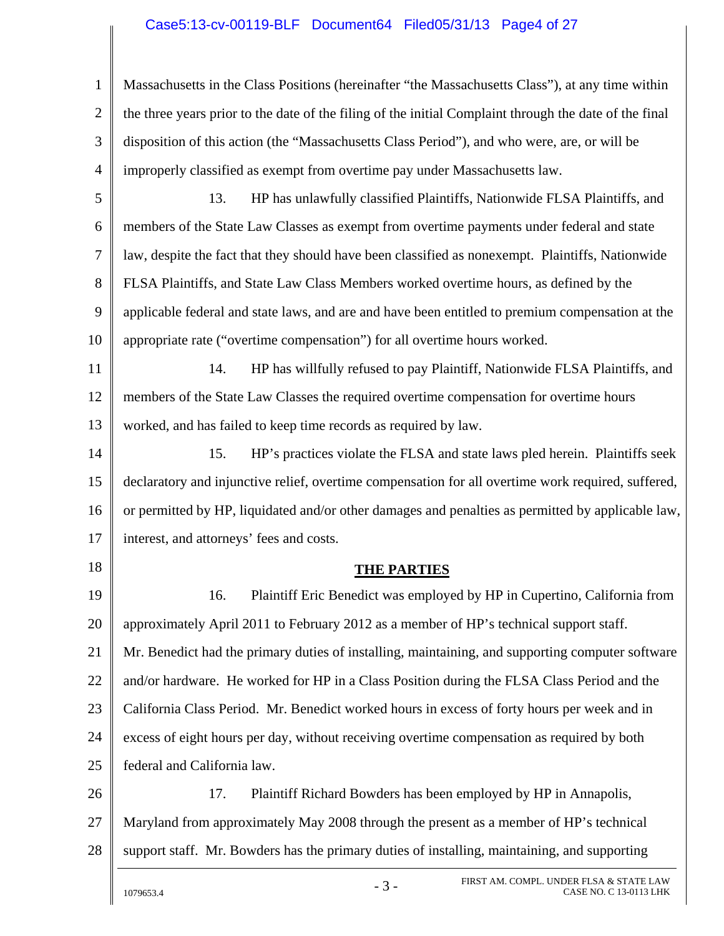### Case5:13-cv-00119-BLF Document64 Filed05/31/13 Page4 of 27

1 2 3 4 Massachusetts in the Class Positions (hereinafter "the Massachusetts Class"), at any time within the three years prior to the date of the filing of the initial Complaint through the date of the final disposition of this action (the "Massachusetts Class Period"), and who were, are, or will be improperly classified as exempt from overtime pay under Massachusetts law.

5 6

7

8

9

10

13. HP has unlawfully classified Plaintiffs, Nationwide FLSA Plaintiffs, and members of the State Law Classes as exempt from overtime payments under federal and state law, despite the fact that they should have been classified as nonexempt. Plaintiffs, Nationwide FLSA Plaintiffs, and State Law Class Members worked overtime hours, as defined by the applicable federal and state laws, and are and have been entitled to premium compensation at the appropriate rate ("overtime compensation") for all overtime hours worked.

11 12 13 14. HP has willfully refused to pay Plaintiff, Nationwide FLSA Plaintiffs, and members of the State Law Classes the required overtime compensation for overtime hours worked, and has failed to keep time records as required by law.

14 15 16 17 15. HP's practices violate the FLSA and state laws pled herein. Plaintiffs seek declaratory and injunctive relief, overtime compensation for all overtime work required, suffered, or permitted by HP, liquidated and/or other damages and penalties as permitted by applicable law, interest, and attorneys' fees and costs.

18

### **THE PARTIES**

19 20 21 22 23 24 25 16. Plaintiff Eric Benedict was employed by HP in Cupertino, California from approximately April 2011 to February 2012 as a member of HP's technical support staff. Mr. Benedict had the primary duties of installing, maintaining, and supporting computer software and/or hardware. He worked for HP in a Class Position during the FLSA Class Period and the California Class Period. Mr. Benedict worked hours in excess of forty hours per week and in excess of eight hours per day, without receiving overtime compensation as required by both federal and California law.

26 27 28 17. Plaintiff Richard Bowders has been employed by HP in Annapolis, Maryland from approximately May 2008 through the present as a member of HP's technical support staff. Mr. Bowders has the primary duties of installing, maintaining, and supporting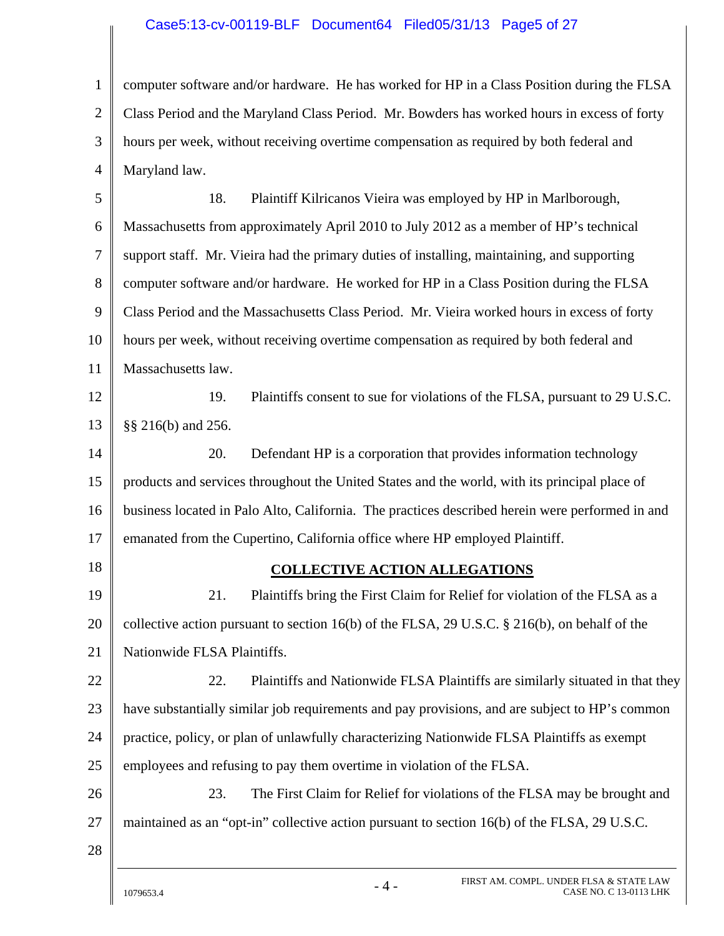#### Case5:13-cv-00119-BLF Document64 Filed05/31/13 Page5 of 27

1 2 3 4 computer software and/or hardware. He has worked for HP in a Class Position during the FLSA Class Period and the Maryland Class Period. Mr. Bowders has worked hours in excess of forty hours per week, without receiving overtime compensation as required by both federal and Maryland law.

5 6 7 8 9 10 11 12 13 14 15 16 17 18 19 20 21 22 23 24 25 26 27 28 18. Plaintiff Kilricanos Vieira was employed by HP in Marlborough, Massachusetts from approximately April 2010 to July 2012 as a member of HP's technical support staff. Mr. Vieira had the primary duties of installing, maintaining, and supporting computer software and/or hardware. He worked for HP in a Class Position during the FLSA Class Period and the Massachusetts Class Period. Mr. Vieira worked hours in excess of forty hours per week, without receiving overtime compensation as required by both federal and Massachusetts law. 19. Plaintiffs consent to sue for violations of the FLSA, pursuant to 29 U.S.C. §§ 216(b) and 256. 20. Defendant HP is a corporation that provides information technology products and services throughout the United States and the world, with its principal place of business located in Palo Alto, California. The practices described herein were performed in and emanated from the Cupertino, California office where HP employed Plaintiff. **COLLECTIVE ACTION ALLEGATIONS**  21. Plaintiffs bring the First Claim for Relief for violation of the FLSA as a collective action pursuant to section 16(b) of the FLSA, 29 U.S.C. § 216(b), on behalf of the Nationwide FLSA Plaintiffs. 22. Plaintiffs and Nationwide FLSA Plaintiffs are similarly situated in that they have substantially similar job requirements and pay provisions, and are subject to HP's common practice, policy, or plan of unlawfully characterizing Nationwide FLSA Plaintiffs as exempt employees and refusing to pay them overtime in violation of the FLSA. 23. The First Claim for Relief for violations of the FLSA may be brought and maintained as an "opt-in" collective action pursuant to section 16(b) of the FLSA, 29 U.S.C.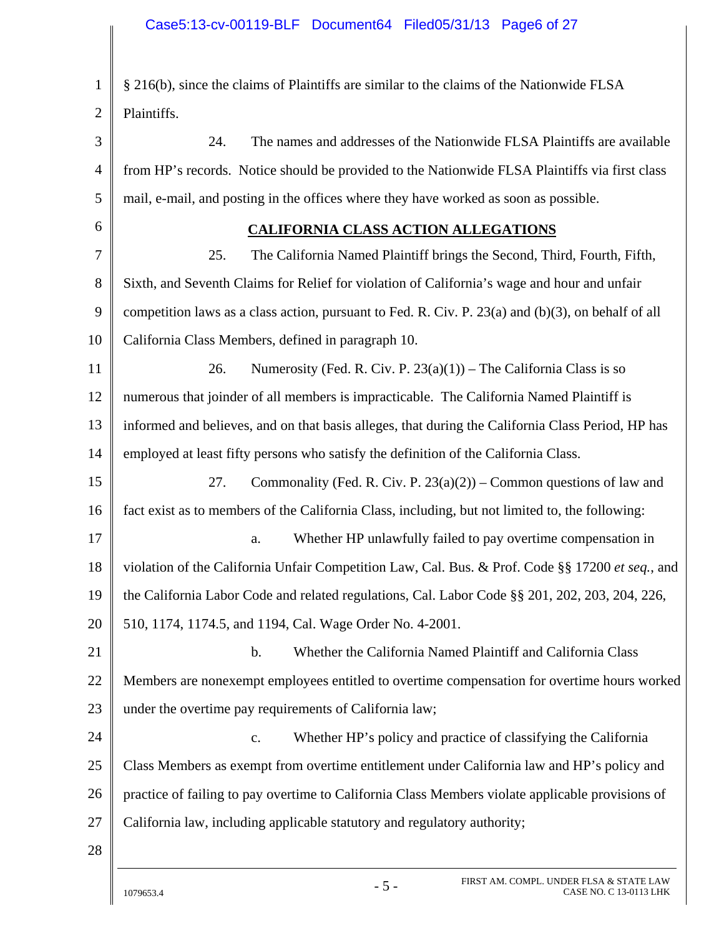1 2 § 216(b), since the claims of Plaintiffs are similar to the claims of the Nationwide FLSA Plaintiffs.

3 4 5 24. The names and addresses of the Nationwide FLSA Plaintiffs are available from HP's records. Notice should be provided to the Nationwide FLSA Plaintiffs via first class mail, e-mail, and posting in the offices where they have worked as soon as possible.

6

### **CALIFORNIA CLASS ACTION ALLEGATIONS**

7 8 9 10 25. The California Named Plaintiff brings the Second, Third, Fourth, Fifth, Sixth, and Seventh Claims for Relief for violation of California's wage and hour and unfair competition laws as a class action, pursuant to Fed. R. Civ. P. 23(a) and (b)(3), on behalf of all California Class Members, defined in paragraph 10.

- 11 12 13 14 26. Numerosity (Fed. R. Civ. P.  $23(a)(1)$ ) – The California Class is so numerous that joinder of all members is impracticable. The California Named Plaintiff is informed and believes, and on that basis alleges, that during the California Class Period, HP has employed at least fifty persons who satisfy the definition of the California Class.
- 15 16 27. Commonality (Fed. R. Civ. P.  $23(a)(2)$ ) – Common questions of law and fact exist as to members of the California Class, including, but not limited to, the following:
- 17 18 19 20 a. Whether HP unlawfully failed to pay overtime compensation in violation of the California Unfair Competition Law, Cal. Bus. & Prof. Code §§ 17200 *et seq.*, and the California Labor Code and related regulations, Cal. Labor Code §§ 201, 202, 203, 204, 226, 510, 1174, 1174.5, and 1194, Cal. Wage Order No. 4-2001.
- 21 22 23 b. Whether the California Named Plaintiff and California Class Members are nonexempt employees entitled to overtime compensation for overtime hours worked under the overtime pay requirements of California law;
- 24 25 26 27 c. Whether HP's policy and practice of classifying the California Class Members as exempt from overtime entitlement under California law and HP's policy and practice of failing to pay overtime to California Class Members violate applicable provisions of California law, including applicable statutory and regulatory authority;
- 28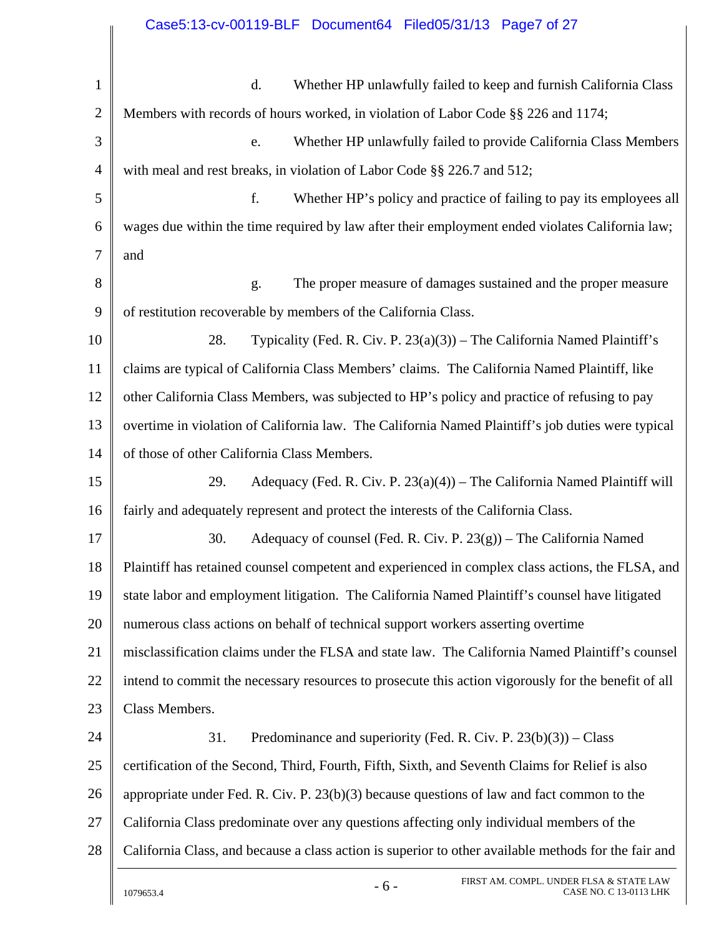| $\mathbf{1}$ | Whether HP unlawfully failed to keep and furnish California Class<br>d.                              |
|--------------|------------------------------------------------------------------------------------------------------|
| 2            | Members with records of hours worked, in violation of Labor Code §§ 226 and 1174;                    |
| 3            | Whether HP unlawfully failed to provide California Class Members<br>e.                               |
| 4            | with meal and rest breaks, in violation of Labor Code §§ 226.7 and 512;                              |
| 5            | f.<br>Whether HP's policy and practice of failing to pay its employees all                           |
| 6            | wages due within the time required by law after their employment ended violates California law;      |
| 7            | and                                                                                                  |
| 8            | The proper measure of damages sustained and the proper measure<br>g.                                 |
| 9            | of restitution recoverable by members of the California Class.                                       |
| 10           | 28.<br>Typicality (Fed. R. Civ. P. $23(a)(3)$ ) – The California Named Plaintiff's                   |
| 11           | claims are typical of California Class Members' claims. The California Named Plaintiff, like         |
| 12           | other California Class Members, was subjected to HP's policy and practice of refusing to pay         |
| 13           | overtime in violation of California law. The California Named Plaintiff's job duties were typical    |
| 14           | of those of other California Class Members.                                                          |
| 15           | 29.<br>Adequacy (Fed. R. Civ. P. $23(a)(4)$ ) – The California Named Plaintiff will                  |
| 16           | fairly and adequately represent and protect the interests of the California Class.                   |
| 17           | 30.<br>Adequacy of counsel (Fed. R. Civ. P. $23(g)$ ) – The California Named                         |
| 18           | Plaintiff has retained counsel competent and experienced in complex class actions, the FLSA, and     |
| 19           | state labor and employment litigation. The California Named Plaintiff's counsel have litigated       |
| 20           | numerous class actions on behalf of technical support workers asserting overtime                     |
| 21           | misclassification claims under the FLSA and state law. The California Named Plaintiff's counsel      |
| 22           | intend to commit the necessary resources to prosecute this action vigorously for the benefit of all  |
| 23           | Class Members.                                                                                       |
| 24           | Predominance and superiority (Fed. R. Civ. P. $23(b)(3)$ ) – Class<br>31.                            |
| 25           | certification of the Second, Third, Fourth, Fifth, Sixth, and Seventh Claims for Relief is also      |
| 26           | appropriate under Fed. R. Civ. P. $23(b)(3)$ because questions of law and fact common to the         |
| 27           | California Class predominate over any questions affecting only individual members of the             |
| 28           | California Class, and because a class action is superior to other available methods for the fair and |
|              | FIRST AM. COMPL. UNDER FLSA & STATE LAW<br>$-6-$<br>1079653.4<br>CASE NO. C 13-0113 LHK              |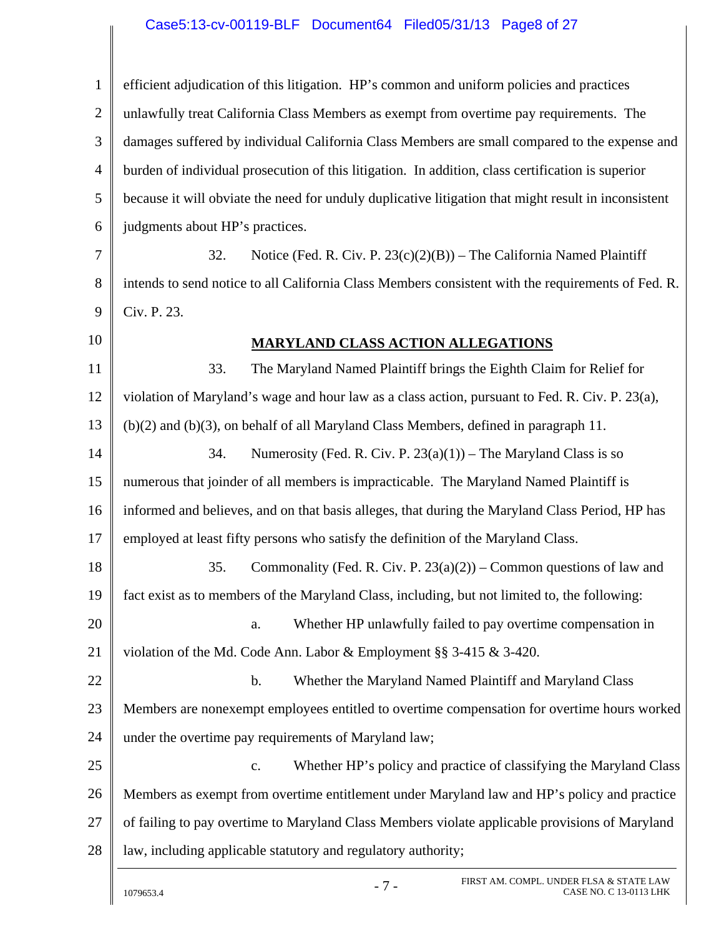#### Case5:13-cv-00119-BLF Document64 Filed05/31/13 Page8 of 27

1 2 3 4 5 6 7 8 9 10 11 12 13 14 15 16 17 18 19 20 21 22 23 24 25 26 27 28 1079653.4 - 7 - FIRST AM. COMPL. UNDER FLSA & STATE LAW CASE NO. C 13-0113 LHK CASE NO. C 13-0113 LHK efficient adjudication of this litigation. HP's common and uniform policies and practices unlawfully treat California Class Members as exempt from overtime pay requirements. The damages suffered by individual California Class Members are small compared to the expense and burden of individual prosecution of this litigation. In addition, class certification is superior because it will obviate the need for unduly duplicative litigation that might result in inconsistent judgments about HP's practices. 32. Notice (Fed. R. Civ. P.  $23(c)(2)(B)$ ) – The California Named Plaintiff intends to send notice to all California Class Members consistent with the requirements of Fed. R. Civ. P. 23. **MARYLAND CLASS ACTION ALLEGATIONS**  33. The Maryland Named Plaintiff brings the Eighth Claim for Relief for violation of Maryland's wage and hour law as a class action, pursuant to Fed. R. Civ. P. 23(a), (b)(2) and (b)(3), on behalf of all Maryland Class Members, defined in paragraph 11. 34. Numerosity (Fed. R. Civ. P.  $23(a)(1)$ ) – The Maryland Class is so numerous that joinder of all members is impracticable. The Maryland Named Plaintiff is informed and believes, and on that basis alleges, that during the Maryland Class Period, HP has employed at least fifty persons who satisfy the definition of the Maryland Class. 35. Commonality (Fed. R. Civ. P.  $23(a)(2)$ ) – Common questions of law and fact exist as to members of the Maryland Class, including, but not limited to, the following: a. Whether HP unlawfully failed to pay overtime compensation in violation of the Md. Code Ann. Labor & Employment §§ 3-415 & 3-420. b. Whether the Maryland Named Plaintiff and Maryland Class Members are nonexempt employees entitled to overtime compensation for overtime hours worked under the overtime pay requirements of Maryland law; c. Whether HP's policy and practice of classifying the Maryland Class Members as exempt from overtime entitlement under Maryland law and HP's policy and practice of failing to pay overtime to Maryland Class Members violate applicable provisions of Maryland law, including applicable statutory and regulatory authority;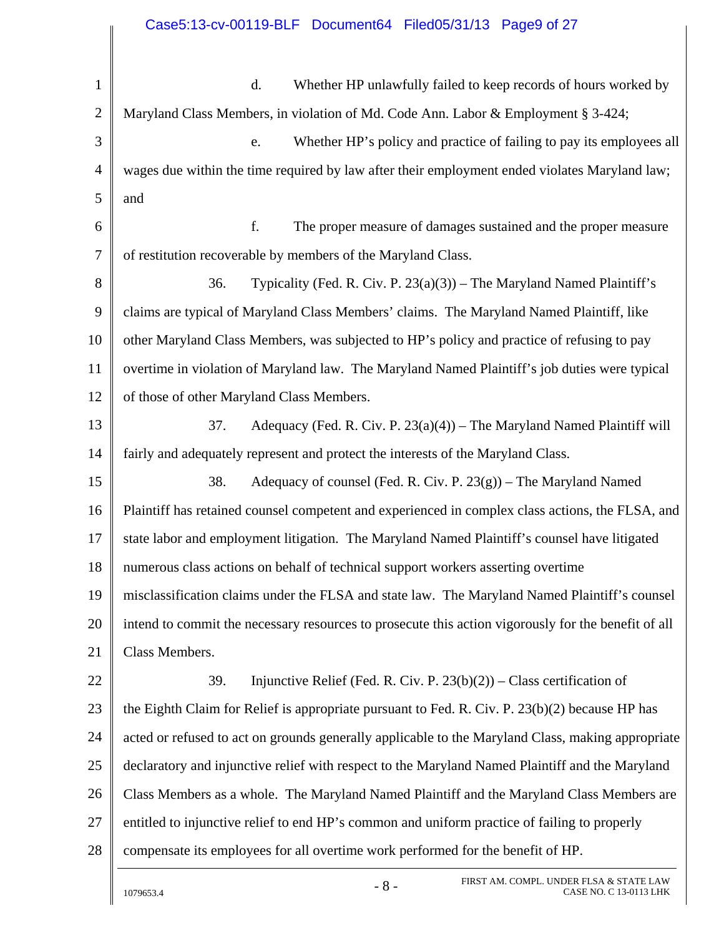| $\mathbf{1}$   | Whether HP unlawfully failed to keep records of hours worked by<br>d.                               |
|----------------|-----------------------------------------------------------------------------------------------------|
| $\overline{2}$ | Maryland Class Members, in violation of Md. Code Ann. Labor & Employment § 3-424;                   |
| 3              | Whether HP's policy and practice of failing to pay its employees all<br>e.                          |
| 4              | wages due within the time required by law after their employment ended violates Maryland law;       |
| 5              | and                                                                                                 |
| 6              | f.<br>The proper measure of damages sustained and the proper measure                                |
| 7              | of restitution recoverable by members of the Maryland Class.                                        |
| 8              | Typicality (Fed. R. Civ. P. $23(a)(3)$ ) – The Maryland Named Plaintiff's<br>36.                    |
| 9              | claims are typical of Maryland Class Members' claims. The Maryland Named Plaintiff, like            |
| 10             | other Maryland Class Members, was subjected to HP's policy and practice of refusing to pay          |
| 11             | overtime in violation of Maryland law. The Maryland Named Plaintiff's job duties were typical       |
| 12             | of those of other Maryland Class Members.                                                           |
| 13             | 37.<br>Adequacy (Fed. R. Civ. P. $23(a)(4)$ ) – The Maryland Named Plaintiff will                   |
| 14             | fairly and adequately represent and protect the interests of the Maryland Class.                    |
| 15             | 38.<br>Adequacy of counsel (Fed. R. Civ. P. $23(g)$ ) – The Maryland Named                          |
| 16             | Plaintiff has retained counsel competent and experienced in complex class actions, the FLSA, and    |
| 17             | state labor and employment litigation. The Maryland Named Plaintiff's counsel have litigated        |
| 18             | numerous class actions on behalf of technical support workers asserting overtime                    |
| 19             | misclassification claims under the FLSA and state law. The Maryland Named Plaintiff's counsel       |
| 20             | intend to commit the necessary resources to prosecute this action vigorously for the benefit of all |
| 21             | Class Members.                                                                                      |
| 22             | 39.<br>Injunctive Relief (Fed. R. Civ. P. $23(b)(2)$ ) – Class certification of                     |
| 23             | the Eighth Claim for Relief is appropriate pursuant to Fed. R. Civ. P. 23(b)(2) because HP has      |
| 24             | acted or refused to act on grounds generally applicable to the Maryland Class, making appropriate   |
| 25             | declaratory and injunctive relief with respect to the Maryland Named Plaintiff and the Maryland     |
| 26             | Class Members as a whole. The Maryland Named Plaintiff and the Maryland Class Members are           |
| 27             | entitled to injunctive relief to end HP's common and uniform practice of failing to properly        |
| 28             | compensate its employees for all overtime work performed for the benefit of HP.                     |
|                | FIRST AM. COMPL. UNDER FLSA & STATE LAW<br>$-8-$<br>1079653.4<br>CASE NO. C 13-0113 LHK             |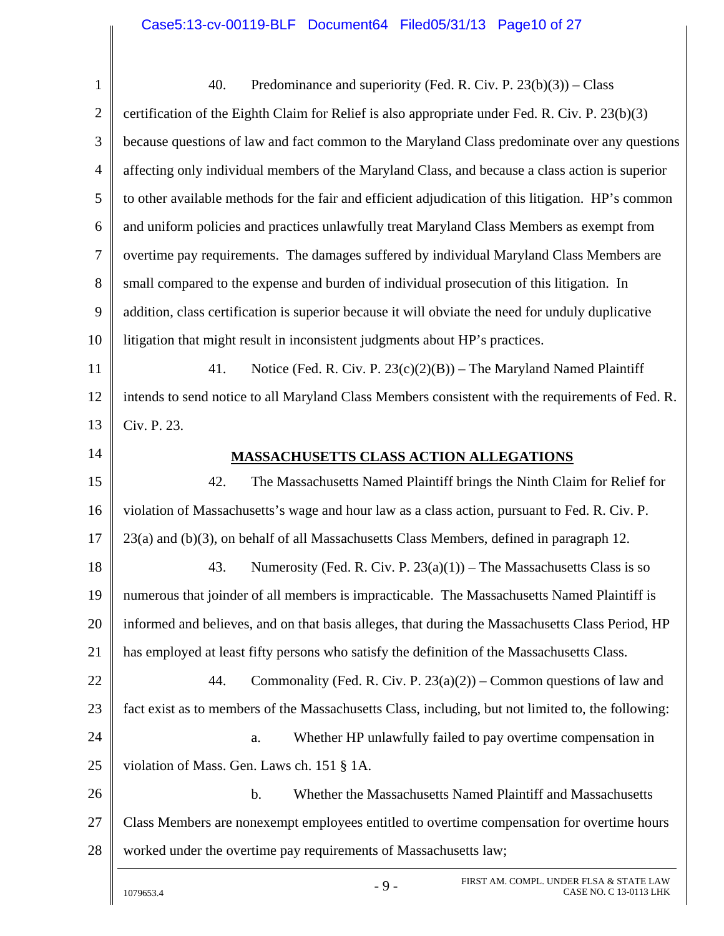| $\mathbf{1}$   | Predominance and superiority (Fed. R. Civ. P. $23(b)(3)$ ) – Class<br>40.                          |
|----------------|----------------------------------------------------------------------------------------------------|
| $\overline{2}$ | certification of the Eighth Claim for Relief is also appropriate under Fed. R. Civ. P. 23(b)(3)    |
| 3              | because questions of law and fact common to the Maryland Class predominate over any questions      |
| $\overline{4}$ | affecting only individual members of the Maryland Class, and because a class action is superior    |
| 5              | to other available methods for the fair and efficient adjudication of this litigation. HP's common |
| 6              | and uniform policies and practices unlawfully treat Maryland Class Members as exempt from          |
| $\overline{7}$ | overtime pay requirements. The damages suffered by individual Maryland Class Members are           |
| 8              | small compared to the expense and burden of individual prosecution of this litigation. In          |
| 9              | addition, class certification is superior because it will obviate the need for unduly duplicative  |
| 10             | litigation that might result in inconsistent judgments about HP's practices.                       |
| 11             | 41.<br>Notice (Fed. R. Civ. P. $23(c)(2)(B)$ ) – The Maryland Named Plaintiff                      |
| 12             | intends to send notice to all Maryland Class Members consistent with the requirements of Fed. R.   |
| 13             | Civ. P. 23.                                                                                        |
| 14             | <b>MASSACHUSETTS CLASS ACTION ALLEGATIONS</b>                                                      |
| 15             | The Massachusetts Named Plaintiff brings the Ninth Claim for Relief for<br>42.                     |
| 16             | violation of Massachusetts's wage and hour law as a class action, pursuant to Fed. R. Civ. P.      |
| 17             | 23(a) and (b)(3), on behalf of all Massachusetts Class Members, defined in paragraph 12.           |
| 18             | Numerosity (Fed. R. Civ. P. $23(a)(1)$ ) – The Massachusetts Class is so<br>43.                    |
| 19             | numerous that joinder of all members is impracticable. The Massachusetts Named Plaintiff is        |
| 20             | informed and believes, and on that basis alleges, that during the Massachusetts Class Period, HP   |
| 21             | has employed at least fifty persons who satisfy the definition of the Massachusetts Class.         |
| 22             | 44.<br>Commonality (Fed. R. Civ. P. $23(a)(2)$ ) – Common questions of law and                     |
| 23             | fact exist as to members of the Massachusetts Class, including, but not limited to, the following: |
| 24             | Whether HP unlawfully failed to pay overtime compensation in<br>a.                                 |
| 25             | violation of Mass. Gen. Laws ch. 151 § 1A.                                                         |
| 26             | Whether the Massachusetts Named Plaintiff and Massachusetts<br>b.                                  |
| 27             | Class Members are nonexempt employees entitled to overtime compensation for overtime hours         |
| 28             | worked under the overtime pay requirements of Massachusetts law;                                   |
|                | FIRST AM. COMPL. UNDER FLSA & STATE LAW<br>$-9-$<br>1079653.4<br>CASE NO. C 13-0113 LHK            |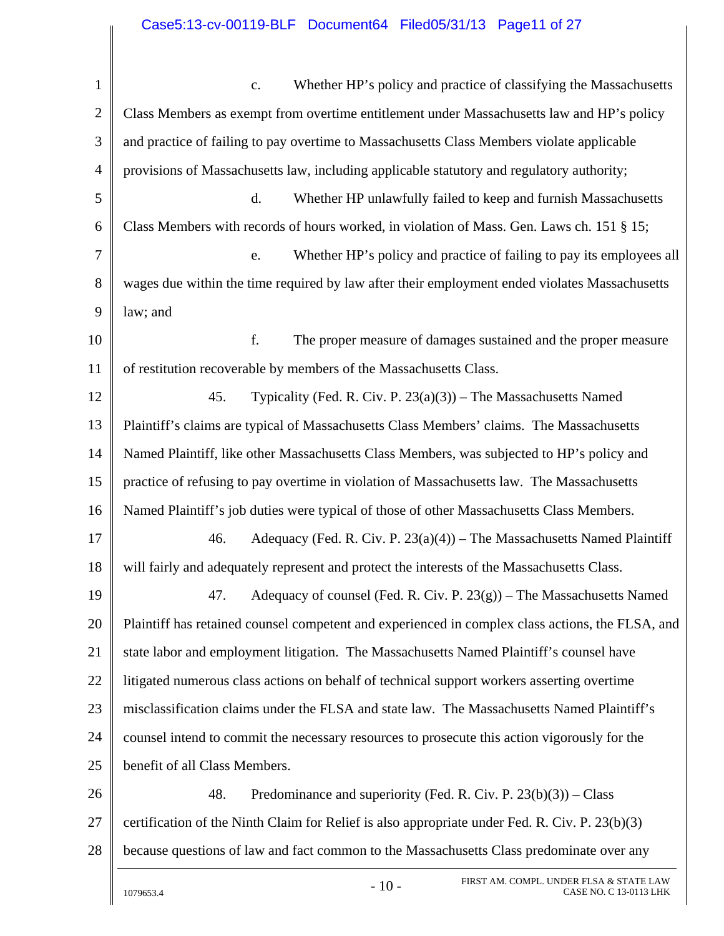| $\mathbf{1}$   | Whether HP's policy and practice of classifying the Massachusetts<br>$\mathbf{c}$ .              |
|----------------|--------------------------------------------------------------------------------------------------|
| $\overline{2}$ | Class Members as exempt from overtime entitlement under Massachusetts law and HP's policy        |
| 3              | and practice of failing to pay overtime to Massachusetts Class Members violate applicable        |
| $\overline{4}$ | provisions of Massachusetts law, including applicable statutory and regulatory authority;        |
| 5              | d.<br>Whether HP unlawfully failed to keep and furnish Massachusetts                             |
| 6              | Class Members with records of hours worked, in violation of Mass. Gen. Laws ch. 151 § 15;        |
| $\overline{7}$ | Whether HP's policy and practice of failing to pay its employees all<br>e.                       |
| 8              | wages due within the time required by law after their employment ended violates Massachusetts    |
| 9              | law; and                                                                                         |
| 10             | f.<br>The proper measure of damages sustained and the proper measure                             |
| 11             | of restitution recoverable by members of the Massachusetts Class.                                |
| 12             | 45.<br>Typicality (Fed. R. Civ. P. $23(a)(3)$ ) – The Massachusetts Named                        |
| 13             | Plaintiff's claims are typical of Massachusetts Class Members' claims. The Massachusetts         |
| 14             | Named Plaintiff, like other Massachusetts Class Members, was subjected to HP's policy and        |
| 15             | practice of refusing to pay overtime in violation of Massachusetts law. The Massachusetts        |
| 16             | Named Plaintiff's job duties were typical of those of other Massachusetts Class Members.         |
| 17             | Adequacy (Fed. R. Civ. P. $23(a)(4)$ ) – The Massachusetts Named Plaintiff<br>46.                |
| 18             | will fairly and adequately represent and protect the interests of the Massachusetts Class.       |
| 19             | 47. Adequacy of counsel (Fed. R. Civ. P. 23(g)) – The Massachusetts Named                        |
| 20             | Plaintiff has retained counsel competent and experienced in complex class actions, the FLSA, and |
| 21             | state labor and employment litigation. The Massachusetts Named Plaintiff's counsel have          |
| 22             | litigated numerous class actions on behalf of technical support workers asserting overtime       |
| 23             | misclassification claims under the FLSA and state law. The Massachusetts Named Plaintiff's       |
| 24             | counsel intend to commit the necessary resources to prosecute this action vigorously for the     |
| 25             | benefit of all Class Members.                                                                    |
| 26             | 48.<br>Predominance and superiority (Fed. R. Civ. P. $23(b)(3)$ ) – Class                        |
| 27             | certification of the Ninth Claim for Relief is also appropriate under Fed. R. Civ. P. 23(b)(3)   |
| 28             | because questions of law and fact common to the Massachusetts Class predominate over any         |
|                | FIRST AM. COMPL. UNDER FLSA & STATE LAW<br>$-10-$<br>1079653.4<br>CASE NO. C 13-0113 LHK         |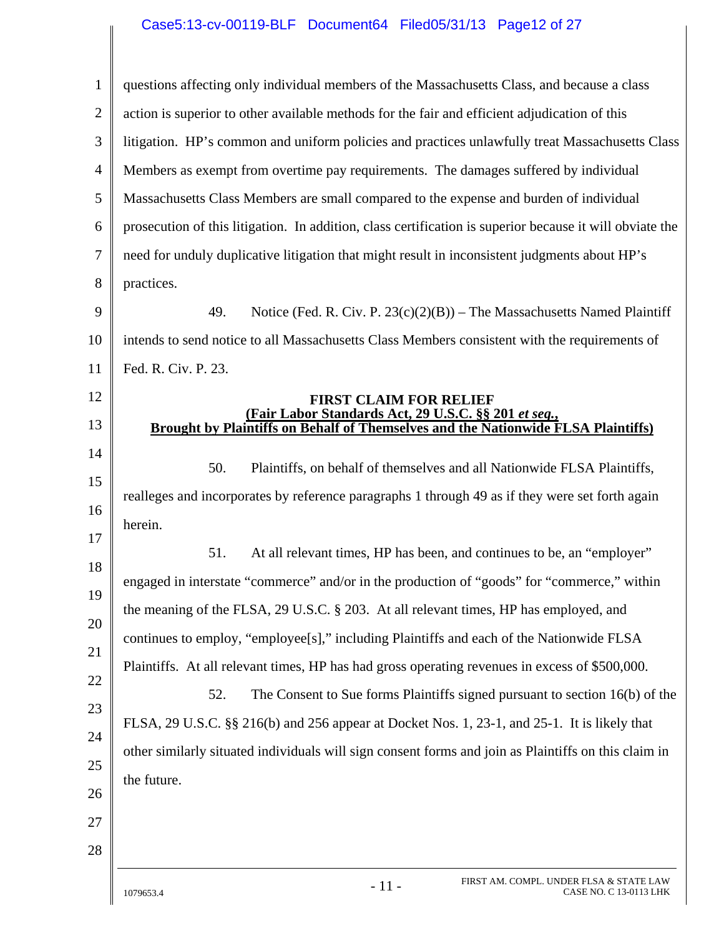# Case5:13-cv-00119-BLF Document64 Filed05/31/13 Page12 of 27

| $\mathbf{1}$   | questions affecting only individual members of the Massachusetts Class, and because a class              |
|----------------|----------------------------------------------------------------------------------------------------------|
| $\overline{2}$ | action is superior to other available methods for the fair and efficient adjudication of this            |
| 3              | litigation. HP's common and uniform policies and practices unlawfully treat Massachusetts Class          |
| $\overline{4}$ | Members as exempt from overtime pay requirements. The damages suffered by individual                     |
| 5              | Massachusetts Class Members are small compared to the expense and burden of individual                   |
| 6              | prosecution of this litigation. In addition, class certification is superior because it will obviate the |
| 7              | need for unduly duplicative litigation that might result in inconsistent judgments about HP's            |
| 8              | practices.                                                                                               |
| 9              | Notice (Fed. R. Civ. P. $23(c)(2)(B)$ ) – The Massachusetts Named Plaintiff<br>49.                       |
| 10             | intends to send notice to all Massachusetts Class Members consistent with the requirements of            |
| 11             | Fed. R. Civ. P. 23.                                                                                      |
| 12             | <b>FIRST CLAIM FOR RELIEF</b><br>(Fair Labor Standards Act, 29 U.S.C. §§ 201 et seq.,                    |
| 13             | <b>Brought by Plaintiffs on Behalf of Themselves and the Nationwide FLSA Plaintiffs)</b>                 |
| 14             | Plaintiffs, on behalf of themselves and all Nationwide FLSA Plaintiffs,<br>50.                           |
| 15             | realleges and incorporates by reference paragraphs 1 through 49 as if they were set forth again          |
| 16             | herein.                                                                                                  |
| 17             | 51.<br>At all relevant times, HP has been, and continues to be, an "employer"                            |
| 18             | engaged in interstate "commerce" and/or in the production of "goods" for "commerce," within              |
| 19             | the meaning of the FLSA, 29 U.S.C. § 203. At all relevant times, HP has employed, and                    |
| 20             | continues to employ, "employee[s]," including Plaintiffs and each of the Nationwide FLSA                 |
| 21             | Plaintiffs. At all relevant times, HP has had gross operating revenues in excess of \$500,000.           |
| 22             | The Consent to Sue forms Plaintiffs signed pursuant to section 16(b) of the<br>52.                       |
| 23             | FLSA, 29 U.S.C. §§ 216(b) and 256 appear at Docket Nos. 1, 23-1, and 25-1. It is likely that             |
| 24             | other similarly situated individuals will sign consent forms and join as Plaintiffs on this claim in     |
| 25             | the future.                                                                                              |
| 26             |                                                                                                          |
| 27<br>28       |                                                                                                          |
|                |                                                                                                          |
|                | FIRST AM. COMPL. UNDER FLSA & STATE LAW<br>$-11-$<br>1079653.4<br>CASE NO. C 13-0113 LHK                 |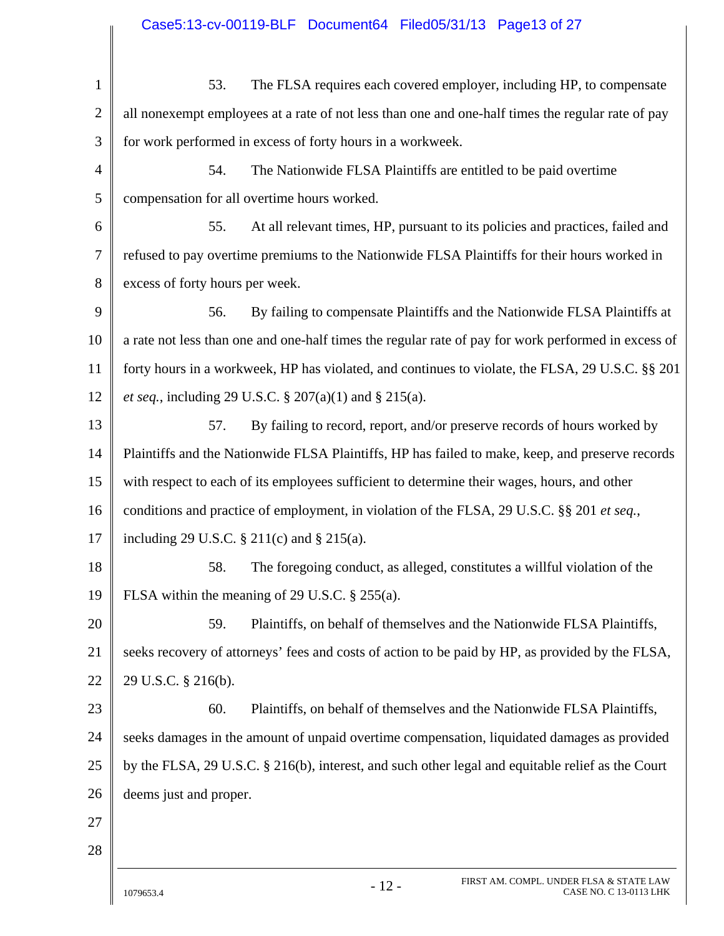| $\mathbf{1}$   | 53.<br>The FLSA requires each covered employer, including HP, to compensate                         |
|----------------|-----------------------------------------------------------------------------------------------------|
| $\overline{2}$ | all nonexempt employees at a rate of not less than one and one-half times the regular rate of pay   |
| 3              | for work performed in excess of forty hours in a workweek.                                          |
| $\overline{4}$ | 54.<br>The Nationwide FLSA Plaintiffs are entitled to be paid overtime                              |
| 5              | compensation for all overtime hours worked.                                                         |
| 6              | At all relevant times, HP, pursuant to its policies and practices, failed and<br>55.                |
| $\tau$         | refused to pay overtime premiums to the Nationwide FLSA Plaintiffs for their hours worked in        |
| 8              | excess of forty hours per week.                                                                     |
| 9              | By failing to compensate Plaintiffs and the Nationwide FLSA Plaintiffs at<br>56.                    |
| 10             | a rate not less than one and one-half times the regular rate of pay for work performed in excess of |
| 11             | forty hours in a workweek, HP has violated, and continues to violate, the FLSA, 29 U.S.C. §§ 201    |
| 12             | <i>et seq.</i> , including 29 U.S.C. $\S 207(a)(1)$ and $\S 215(a)$ .                               |
| 13             | By failing to record, report, and/or preserve records of hours worked by<br>57.                     |
| 14             | Plaintiffs and the Nationwide FLSA Plaintiffs, HP has failed to make, keep, and preserve records    |
| 15             | with respect to each of its employees sufficient to determine their wages, hours, and other         |
| 16             | conditions and practice of employment, in violation of the FLSA, 29 U.S.C. §§ 201 et seq.,          |
| 17             | including 29 U.S.C. § 211(c) and § 215(a).                                                          |
| 18             | 58.<br>The foregoing conduct, as alleged, constitutes a willful violation of the                    |
| 19             | FLSA within the meaning of 29 U.S.C. § 255(a).                                                      |
| 20             | Plaintiffs, on behalf of themselves and the Nationwide FLSA Plaintiffs,<br>59.                      |
| 21             | seeks recovery of attorneys' fees and costs of action to be paid by HP, as provided by the FLSA,    |
| 22             | 29 U.S.C. § 216(b).                                                                                 |
| 23             | Plaintiffs, on behalf of themselves and the Nationwide FLSA Plaintiffs,<br>60.                      |
| 24             | seeks damages in the amount of unpaid overtime compensation, liquidated damages as provided         |
| 25             | by the FLSA, 29 U.S.C. § 216(b), interest, and such other legal and equitable relief as the Court   |
| 26             | deems just and proper.                                                                              |
| 27             |                                                                                                     |
| 28             |                                                                                                     |
|                | FIRST AM. COMPL. UNDER FLSA & STATE LAW<br>$-12-$<br>1079653.4<br>CASE NO. C 13-0113 LHK            |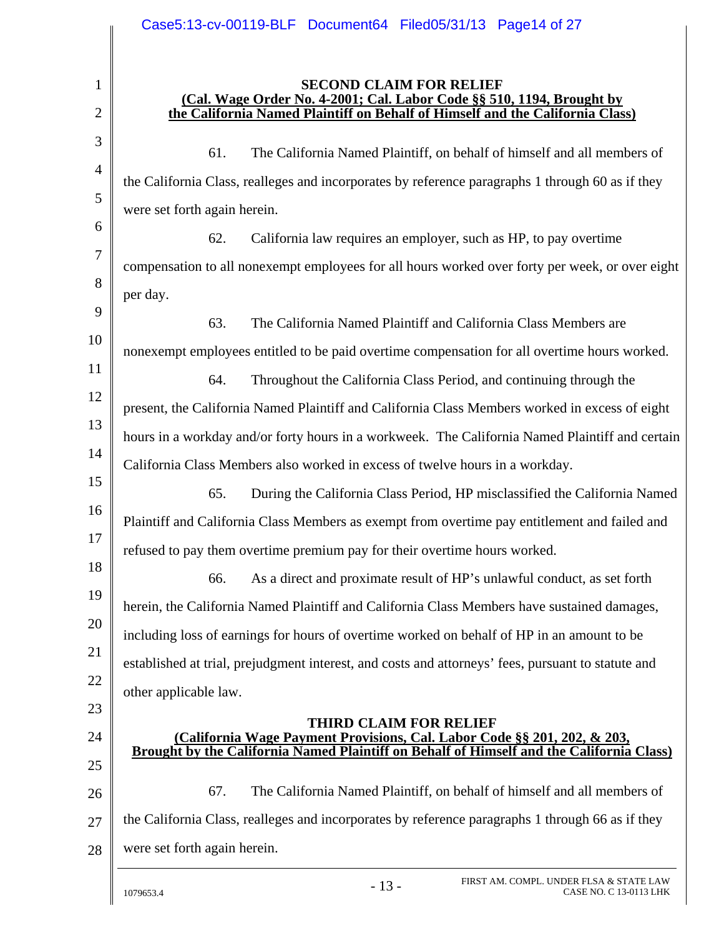|                | Case5:13-cv-00119-BLF Document64 Filed05/31/13 Page14 of 27                                                                                                                 |
|----------------|-----------------------------------------------------------------------------------------------------------------------------------------------------------------------------|
|                |                                                                                                                                                                             |
| $\mathbf{1}$   | <b>SECOND CLAIM FOR RELIEF</b><br>(Cal. Wage Order No. 4-2001; Cal. Labor Code §§ 510, 1194, Brought by                                                                     |
| $\overline{2}$ | the California Named Plaintiff on Behalf of Himself and the California Class)                                                                                               |
| 3              | The California Named Plaintiff, on behalf of himself and all members of<br>61.                                                                                              |
| $\overline{4}$ | the California Class, realleges and incorporates by reference paragraphs 1 through 60 as if they                                                                            |
| 5              | were set forth again herein.                                                                                                                                                |
| 6              | 62.<br>California law requires an employer, such as HP, to pay overtime                                                                                                     |
| $\tau$         | compensation to all nonexempt employees for all hours worked over forty per week, or over eight                                                                             |
| 8              | per day.                                                                                                                                                                    |
| 9              | 63.<br>The California Named Plaintiff and California Class Members are                                                                                                      |
| 10             | nonexempt employees entitled to be paid overtime compensation for all overtime hours worked.                                                                                |
| 11             | 64.<br>Throughout the California Class Period, and continuing through the                                                                                                   |
| 12             | present, the California Named Plaintiff and California Class Members worked in excess of eight                                                                              |
| 13             | hours in a workday and/or forty hours in a workweek. The California Named Plaintiff and certain                                                                             |
| 14             | California Class Members also worked in excess of twelve hours in a workday.                                                                                                |
| 15             | 65.<br>During the California Class Period, HP misclassified the California Named                                                                                            |
| 16             | Plaintiff and California Class Members as exempt from overtime pay entitlement and failed and                                                                               |
| 17             | refused to pay them overtime premium pay for their overtime hours worked.                                                                                                   |
| 18             | As a direct and proximate result of HP's unlawful conduct, as set forth<br>66.                                                                                              |
| 19             | herein, the California Named Plaintiff and California Class Members have sustained damages,                                                                                 |
| 20             | including loss of earnings for hours of overtime worked on behalf of HP in an amount to be                                                                                  |
| 21             | established at trial, prejudgment interest, and costs and attorneys' fees, pursuant to statute and                                                                          |
| 22             | other applicable law.                                                                                                                                                       |
| 23             | <b>THIRD CLAIM FOR RELIEF</b>                                                                                                                                               |
| 24             | (California Wage Payment Provisions, Cal. Labor Code §§ 201, 202, & 203,<br><b>Brought by the California Named Plaintiff on Behalf of Himself and the California Class)</b> |
| 25             |                                                                                                                                                                             |
| 26             | The California Named Plaintiff, on behalf of himself and all members of<br>67.                                                                                              |
| 27             | the California Class, realleges and incorporates by reference paragraphs 1 through 66 as if they                                                                            |
| 28             | were set forth again herein.                                                                                                                                                |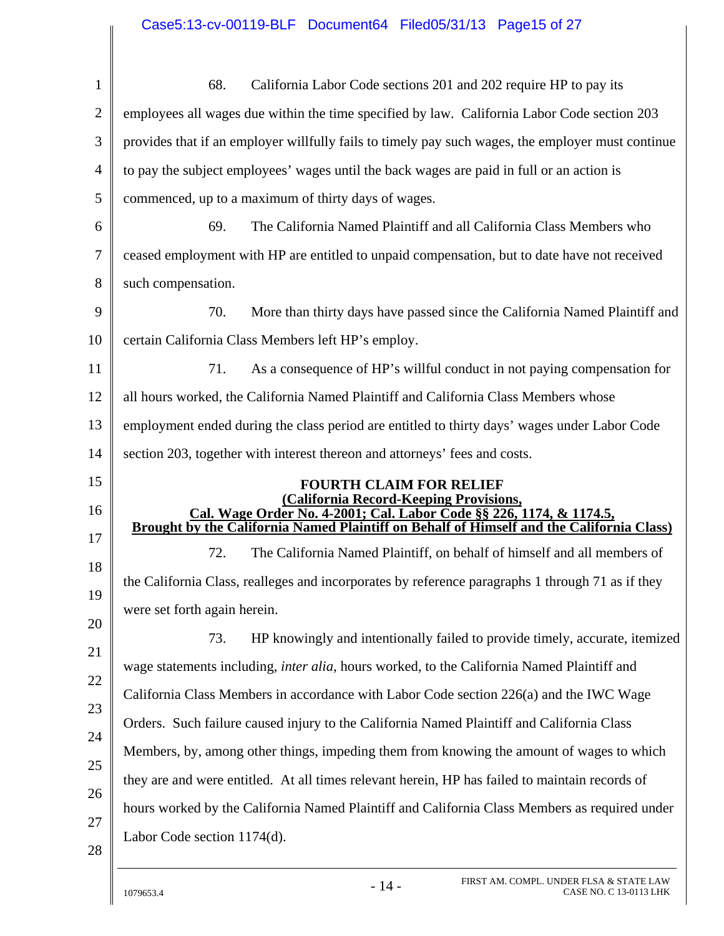| $\mathbf{1}$   | 68.<br>California Labor Code sections 201 and 202 require HP to pay its                                                                                                                                   |
|----------------|-----------------------------------------------------------------------------------------------------------------------------------------------------------------------------------------------------------|
| $\overline{2}$ | employees all wages due within the time specified by law. California Labor Code section 203                                                                                                               |
| 3              | provides that if an employer willfully fails to timely pay such wages, the employer must continue                                                                                                         |
| 4              | to pay the subject employees' wages until the back wages are paid in full or an action is                                                                                                                 |
| 5              | commenced, up to a maximum of thirty days of wages.                                                                                                                                                       |
| 6              | 69.<br>The California Named Plaintiff and all California Class Members who                                                                                                                                |
| 7              | ceased employment with HP are entitled to unpaid compensation, but to date have not received                                                                                                              |
| 8              | such compensation.                                                                                                                                                                                        |
| 9              | 70.<br>More than thirty days have passed since the California Named Plaintiff and                                                                                                                         |
| 10             | certain California Class Members left HP's employ.                                                                                                                                                        |
| 11             | As a consequence of HP's willful conduct in not paying compensation for<br>71.                                                                                                                            |
| 12             | all hours worked, the California Named Plaintiff and California Class Members whose                                                                                                                       |
| 13             | employment ended during the class period are entitled to thirty days' wages under Labor Code                                                                                                              |
| 14             | section 203, together with interest thereon and attorneys' fees and costs.                                                                                                                                |
|                |                                                                                                                                                                                                           |
| 15             | <b>FOURTH CLAIM FOR RELIEF</b>                                                                                                                                                                            |
| 16             | (California Record-Keeping Provisions,<br>Cal. Wage Order No. 4-2001; Cal. Labor Code §§ 226, 1174, & 1174.5,<br>Brought by the California Named Plaintiff on Behalf of Himself and the California Class) |
| 17             | 72.<br>The California Named Plaintiff, on behalf of himself and all members of                                                                                                                            |
| 18             | the California Class, realleges and incorporates by reference paragraphs 1 through 71 as if they                                                                                                          |
| 19             | were set forth again herein.                                                                                                                                                                              |
| 20             | 73.<br>HP knowingly and intentionally failed to provide timely, accurate, itemized                                                                                                                        |
| 21             | wage statements including, <i>inter alia</i> , hours worked, to the California Named Plaintiff and                                                                                                        |
| 22             | California Class Members in accordance with Labor Code section 226(a) and the IWC Wage                                                                                                                    |
| 23             | Orders. Such failure caused injury to the California Named Plaintiff and California Class                                                                                                                 |
| 24             | Members, by, among other things, impeding them from knowing the amount of wages to which                                                                                                                  |
| 25             | they are and were entitled. At all times relevant herein, HP has failed to maintain records of                                                                                                            |
| 26             | hours worked by the California Named Plaintiff and California Class Members as required under                                                                                                             |
| 27<br>28       | Labor Code section 1174(d).                                                                                                                                                                               |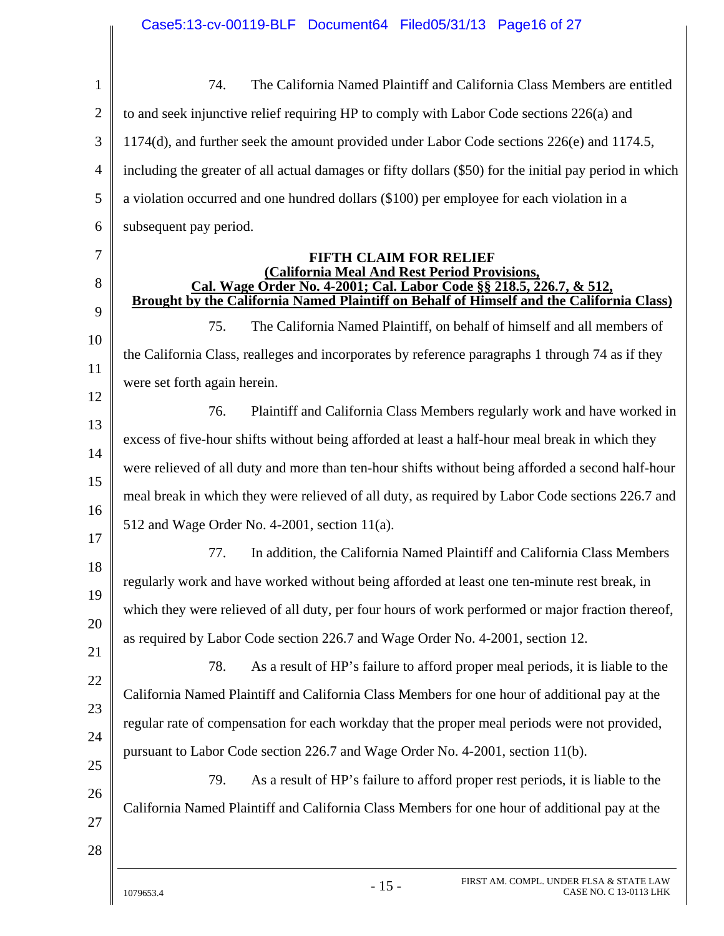1 2 3 4 5 6 7 8 9 10 11 12 13 14 15 16 17 18 19 20 21 22 23 24 25 26 27 28 74. The California Named Plaintiff and California Class Members are entitled to and seek injunctive relief requiring HP to comply with Labor Code sections 226(a) and 1174(d), and further seek the amount provided under Labor Code sections 226(e) and 1174.5, including the greater of all actual damages or fifty dollars (\$50) for the initial pay period in which a violation occurred and one hundred dollars (\$100) per employee for each violation in a subsequent pay period. **FIFTH CLAIM FOR RELIEF (California Meal And Rest Period Provisions, Cal. Wage Order No. 4-2001; Cal. Labor Code §§ 218.5, 226.7, & 512, Brought by the California Named Plaintiff on Behalf of Himself and the California Class)**  75. The California Named Plaintiff, on behalf of himself and all members of the California Class, realleges and incorporates by reference paragraphs 1 through 74 as if they were set forth again herein. 76. Plaintiff and California Class Members regularly work and have worked in excess of five-hour shifts without being afforded at least a half-hour meal break in which they were relieved of all duty and more than ten-hour shifts without being afforded a second half-hour meal break in which they were relieved of all duty, as required by Labor Code sections 226.7 and 512 and Wage Order No. 4-2001, section 11(a). 77. In addition, the California Named Plaintiff and California Class Members regularly work and have worked without being afforded at least one ten-minute rest break, in which they were relieved of all duty, per four hours of work performed or major fraction thereof, as required by Labor Code section 226.7 and Wage Order No. 4-2001, section 12. 78. As a result of HP's failure to afford proper meal periods, it is liable to the California Named Plaintiff and California Class Members for one hour of additional pay at the regular rate of compensation for each workday that the proper meal periods were not provided, pursuant to Labor Code section 226.7 and Wage Order No. 4-2001, section 11(b). 79. As a result of HP's failure to afford proper rest periods, it is liable to the California Named Plaintiff and California Class Members for one hour of additional pay at the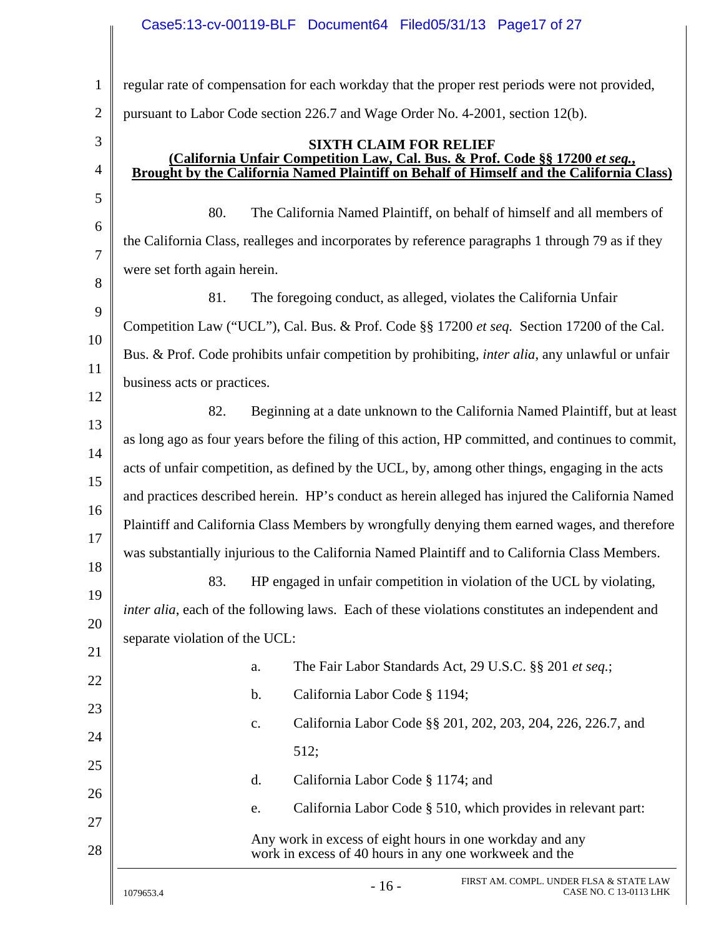### Case5:13-cv-00119-BLF Document64 Filed05/31/13 Page17 of 27

1 2 3 4 5 6 7 8 9 10 11 12 13 14 15 16 17 18 19 20 21 22 23 24 25 26 27 28 1079653.4  $16 - 16 - 16$  FIRST AM. COMPL. UNDER FLSA & STATE LAW regular rate of compensation for each workday that the proper rest periods were not provided, pursuant to Labor Code section 226.7 and Wage Order No. 4-2001, section 12(b). **SIXTH CLAIM FOR RELIEF**<br>**California Unfair Competition Law, Cal. Bus. & Prof. Code §§ 17200** et seq., **Brought by the California Named Plaintiff on Behalf of Himself and the California Class)** 80. The California Named Plaintiff, on behalf of himself and all members of the California Class, realleges and incorporates by reference paragraphs 1 through 79 as if they were set forth again herein. 81. The foregoing conduct, as alleged, violates the California Unfair Competition Law ("UCL"), Cal. Bus. & Prof. Code §§ 17200 *et seq.* Section 17200 of the Cal. Bus. & Prof. Code prohibits unfair competition by prohibiting, *inter alia*, any unlawful or unfair business acts or practices. 82. Beginning at a date unknown to the California Named Plaintiff, but at least as long ago as four years before the filing of this action, HP committed, and continues to commit, acts of unfair competition, as defined by the UCL, by, among other things, engaging in the acts and practices described herein. HP's conduct as herein alleged has injured the California Named Plaintiff and California Class Members by wrongfully denying them earned wages, and therefore was substantially injurious to the California Named Plaintiff and to California Class Members. 83. HP engaged in unfair competition in violation of the UCL by violating, *inter alia*, each of the following laws. Each of these violations constitutes an independent and separate violation of the UCL: a. The Fair Labor Standards Act, 29 U.S.C. §§ 201 *et seq.*; b. California Labor Code § 1194; c. California Labor Code §§ 201, 202, 203, 204, 226, 226.7, and 512; d. California Labor Code § 1174; and e. California Labor Code § 510, which provides in relevant part: Any work in excess of eight hours in one workday and any work in excess of 40 hours in any one workweek and the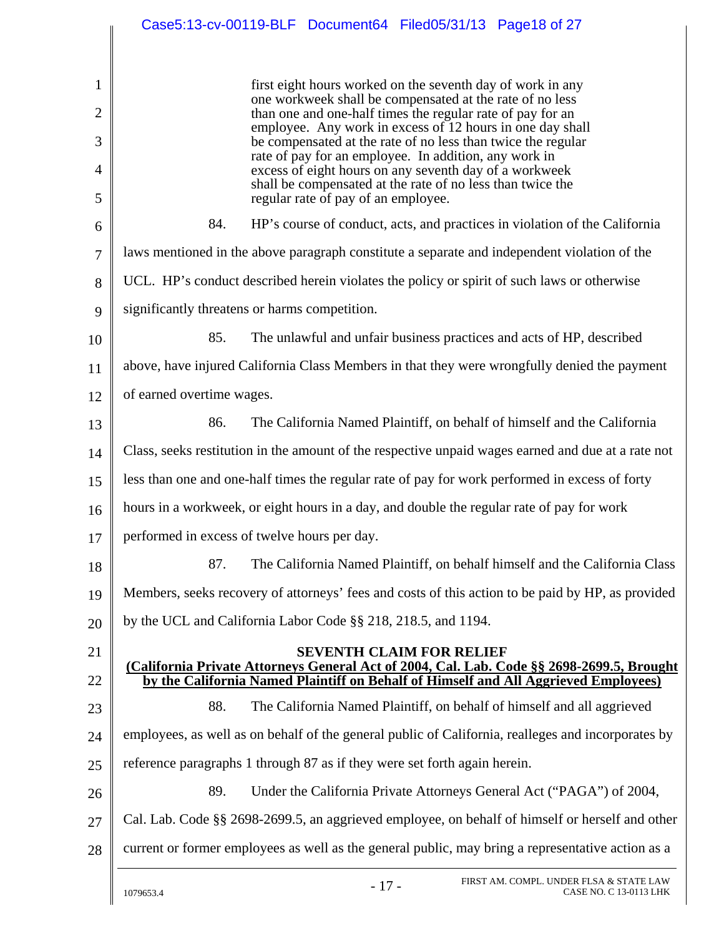|                | Case5:13-cv-00119-BLF Document64 Filed05/31/13 Page18 of 27                                                                                                                      |
|----------------|----------------------------------------------------------------------------------------------------------------------------------------------------------------------------------|
| $\mathbf{1}$   | first eight hours worked on the seventh day of work in any<br>one workweek shall be compensated at the rate of no less                                                           |
| $\overline{2}$ | than one and one-half times the regular rate of pay for an                                                                                                                       |
| 3              | employee. Any work in excess of 12 hours in one day shall<br>be compensated at the rate of no less than twice the regular                                                        |
| 4              | rate of pay for an employee. In addition, any work in<br>excess of eight hours on any seventh day of a workweek                                                                  |
| 5              | shall be compensated at the rate of no less than twice the<br>regular rate of pay of an employee.                                                                                |
| 6              | HP's course of conduct, acts, and practices in violation of the California<br>84.                                                                                                |
| $\tau$         | laws mentioned in the above paragraph constitute a separate and independent violation of the                                                                                     |
| 8              | UCL. HP's conduct described herein violates the policy or spirit of such laws or otherwise                                                                                       |
| 9              | significantly threatens or harms competition.                                                                                                                                    |
| 10             | 85.<br>The unlawful and unfair business practices and acts of HP, described                                                                                                      |
| 11             | above, have injured California Class Members in that they were wrongfully denied the payment                                                                                     |
| 12             | of earned overtime wages.                                                                                                                                                        |
| 13             | 86.<br>The California Named Plaintiff, on behalf of himself and the California                                                                                                   |
| 14             | Class, seeks restitution in the amount of the respective unpaid wages earned and due at a rate not                                                                               |
| 15             | less than one and one-half times the regular rate of pay for work performed in excess of forty                                                                                   |
| 16             | hours in a workweek, or eight hours in a day, and double the regular rate of pay for work                                                                                        |
| 17             | performed in excess of twelve hours per day.                                                                                                                                     |
| 18             | The California Named Plaintiff, on behalf himself and the California Class<br>87.                                                                                                |
| 19             | Members, seeks recovery of attorneys' fees and costs of this action to be paid by HP, as provided                                                                                |
| 20             | by the UCL and California Labor Code §§ 218, 218.5, and 1194.                                                                                                                    |
| 21             | <b>SEVENTH CLAIM FOR RELIEF</b>                                                                                                                                                  |
| 22             | (California Private Attorneys General Act of 2004, Cal. Lab. Code §§ 2698-2699.5, Brought<br>by the California Named Plaintiff on Behalf of Himself and All Aggrieved Employees) |
| 23             | 88.<br>The California Named Plaintiff, on behalf of himself and all aggrieved                                                                                                    |
| 24             | employees, as well as on behalf of the general public of California, realleges and incorporates by                                                                               |
| 25             | reference paragraphs 1 through 87 as if they were set forth again herein.                                                                                                        |
| 26             | 89.<br>Under the California Private Attorneys General Act ("PAGA") of 2004,                                                                                                      |
| 27             | Cal. Lab. Code §§ 2698-2699.5, an aggrieved employee, on behalf of himself or herself and other                                                                                  |
| 28             | current or former employees as well as the general public, may bring a representative action as a                                                                                |
|                | FIRST AM. COMPL. UNDER FLSA & STATE LAW<br>$-17-$<br>CASE NO. C 13-0113 LHK<br>1079653.4                                                                                         |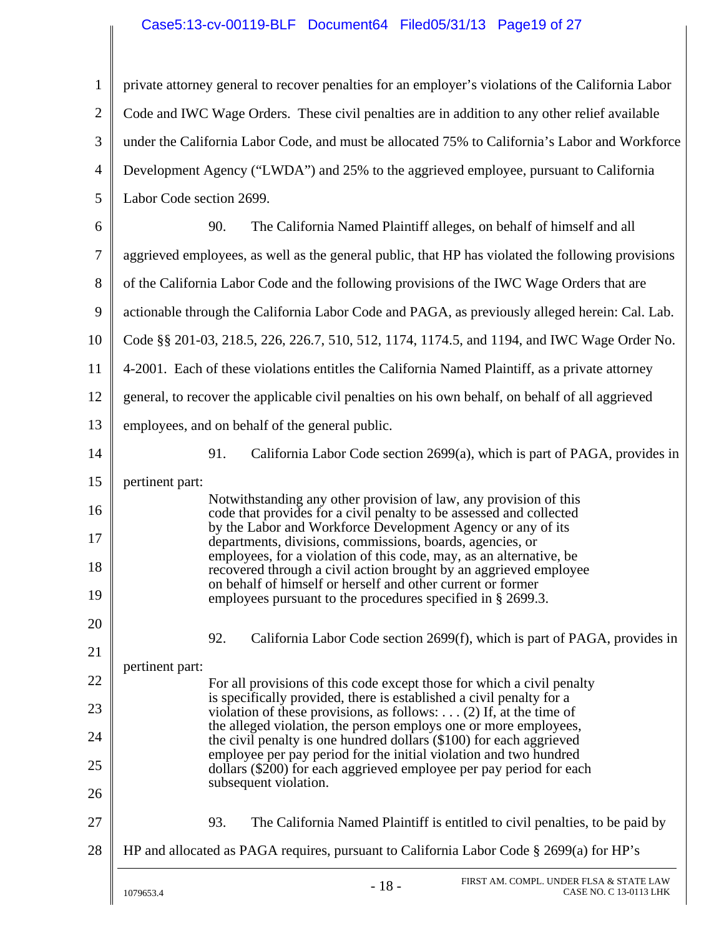# Case5:13-cv-00119-BLF Document64 Filed05/31/13 Page19 of 27

| $\mathbf{1}$   | private attorney general to recover penalties for an employer's violations of the California Labor                                        |
|----------------|-------------------------------------------------------------------------------------------------------------------------------------------|
| $\overline{2}$ | Code and IWC Wage Orders. These civil penalties are in addition to any other relief available                                             |
| 3              | under the California Labor Code, and must be allocated 75% to California's Labor and Workforce                                            |
| $\overline{4}$ | Development Agency ("LWDA") and 25% to the aggrieved employee, pursuant to California                                                     |
| 5              | Labor Code section 2699.                                                                                                                  |
| 6              | 90.<br>The California Named Plaintiff alleges, on behalf of himself and all                                                               |
| 7              | aggrieved employees, as well as the general public, that HP has violated the following provisions                                         |
| 8              | of the California Labor Code and the following provisions of the IWC Wage Orders that are                                                 |
| 9              | actionable through the California Labor Code and PAGA, as previously alleged herein: Cal. Lab.                                            |
| 10             | Code §§ 201-03, 218.5, 226, 226.7, 510, 512, 1174, 1174.5, and 1194, and IWC Wage Order No.                                               |
| 11             | 4-2001. Each of these violations entitles the California Named Plaintiff, as a private attorney                                           |
| 12             | general, to recover the applicable civil penalties on his own behalf, on behalf of all aggrieved                                          |
| 13             | employees, and on behalf of the general public.                                                                                           |
| 14             | 91.<br>California Labor Code section 2699(a), which is part of PAGA, provides in                                                          |
| 15             | pertinent part:                                                                                                                           |
| 16             | Notwithstanding any other provision of law, any provision of this<br>code that provides for a civil penalty to be assessed and collected  |
| 17             | by the Labor and Workforce Development Agency or any of its<br>departments, divisions, commissions, boards, agencies, or                  |
| 18             | employees, for a violation of this code, may, as an alternative, be<br>recovered through a civil action brought by an aggrieved employee  |
| 19             | on behalf of himself or herself and other current or former<br>employees pursuant to the procedures specified in § 2699.3.                |
| 20             | California Labor Code section 2699(f), which is part of PAGA, provides in<br>92.                                                          |
| 21             | pertinent part:                                                                                                                           |
| 22             | For all provisions of this code except those for which a civil penalty                                                                    |
| 23             | is specifically provided, there is established a civil penalty for a<br>violation of these provisions, as follows: (2) If, at the time of |
| 24             | the alleged violation, the person employs one or more employees,<br>the civil penalty is one hundred dollars (\$100) for each aggrieved   |
| 25             | employee per pay period for the initial violation and two hundred<br>dollars (\$200) for each aggrieved employee per pay period for each  |
| 26             | subsequent violation.                                                                                                                     |
| 27             | 93.<br>The California Named Plaintiff is entitled to civil penalties, to be paid by                                                       |
| 28             | HP and allocated as PAGA requires, pursuant to California Labor Code § 2699(a) for HP's                                                   |
|                | FIRST AM. COMPL. UNDER FLSA & STATE LAW<br>$-18-$<br>CASE NO. C 13-0113 LHK<br>1079653.4                                                  |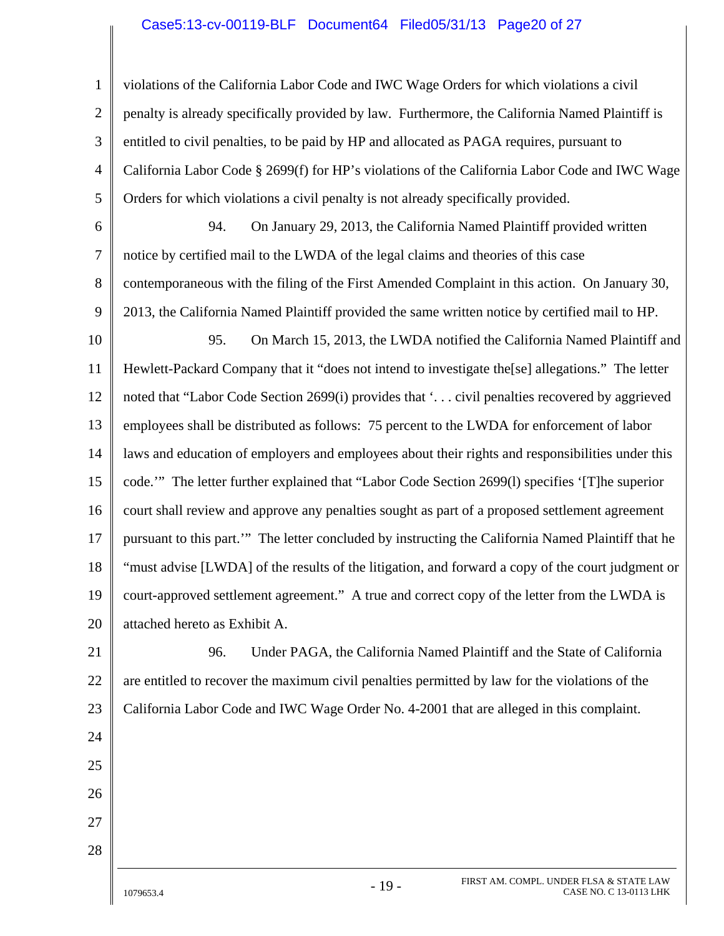#### Case5:13-cv-00119-BLF Document64 Filed05/31/13 Page20 of 27

1 2 3 4 5 violations of the California Labor Code and IWC Wage Orders for which violations a civil penalty is already specifically provided by law. Furthermore, the California Named Plaintiff is entitled to civil penalties, to be paid by HP and allocated as PAGA requires, pursuant to California Labor Code § 2699(f) for HP's violations of the California Labor Code and IWC Wage Orders for which violations a civil penalty is not already specifically provided.

6 7 8 9 94. On January 29, 2013, the California Named Plaintiff provided written notice by certified mail to the LWDA of the legal claims and theories of this case contemporaneous with the filing of the First Amended Complaint in this action. On January 30, 2013, the California Named Plaintiff provided the same written notice by certified mail to HP.

10 11 12 13 14 15 16 17 18 19 20 95. On March 15, 2013, the LWDA notified the California Named Plaintiff and Hewlett-Packard Company that it "does not intend to investigate the[se] allegations." The letter noted that "Labor Code Section 2699(i) provides that '. . . civil penalties recovered by aggrieved employees shall be distributed as follows: 75 percent to the LWDA for enforcement of labor laws and education of employers and employees about their rights and responsibilities under this code.'" The letter further explained that "Labor Code Section 2699(l) specifies '[T]he superior court shall review and approve any penalties sought as part of a proposed settlement agreement pursuant to this part.'" The letter concluded by instructing the California Named Plaintiff that he "must advise [LWDA] of the results of the litigation, and forward a copy of the court judgment or court-approved settlement agreement." A true and correct copy of the letter from the LWDA is attached hereto as Exhibit A.

21 22 23 96. Under PAGA, the California Named Plaintiff and the State of California are entitled to recover the maximum civil penalties permitted by law for the violations of the California Labor Code and IWC Wage Order No. 4-2001 that are alleged in this complaint.

27 28

24

25

26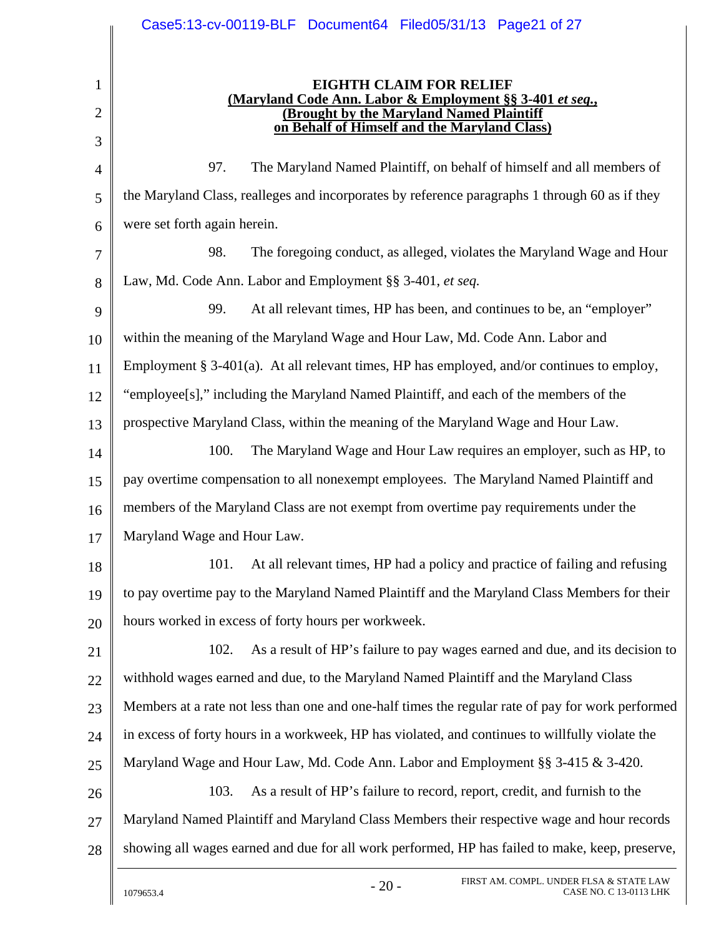|                                    | Case5:13-cv-00119-BLF Document64 Filed05/31/13 Page21 of 27                                                                                                                            |  |  |
|------------------------------------|----------------------------------------------------------------------------------------------------------------------------------------------------------------------------------------|--|--|
| $\mathbf 1$<br>$\overline{2}$<br>3 | <b>EIGHTH CLAIM FOR RELIEF</b><br>(Maryland Code Ann. Labor & Employment §§ 3-401 et seq.,<br>(Brought by the Maryland Named Plaintiff<br>on Behalf of Himself and the Maryland Class) |  |  |
| $\overline{4}$                     | The Maryland Named Plaintiff, on behalf of himself and all members of<br>97.                                                                                                           |  |  |
| 5                                  | the Maryland Class, realleges and incorporates by reference paragraphs 1 through 60 as if they                                                                                         |  |  |
| 6                                  | were set forth again herein.                                                                                                                                                           |  |  |
| 7                                  | 98.<br>The foregoing conduct, as alleged, violates the Maryland Wage and Hour                                                                                                          |  |  |
| 8                                  | Law, Md. Code Ann. Labor and Employment §§ 3-401, et seq.                                                                                                                              |  |  |
| 9                                  | 99.<br>At all relevant times, HP has been, and continues to be, an "employer"                                                                                                          |  |  |
| 10                                 | within the meaning of the Maryland Wage and Hour Law, Md. Code Ann. Labor and                                                                                                          |  |  |
| 11                                 | Employment $\S 3-401(a)$ . At all relevant times, HP has employed, and/or continues to employ,                                                                                         |  |  |
| 12                                 | "employee[s]," including the Maryland Named Plaintiff, and each of the members of the                                                                                                  |  |  |
| 13                                 | prospective Maryland Class, within the meaning of the Maryland Wage and Hour Law.                                                                                                      |  |  |
| 14                                 | 100.<br>The Maryland Wage and Hour Law requires an employer, such as HP, to                                                                                                            |  |  |
| 15                                 | pay overtime compensation to all nonexempt employees. The Maryland Named Plaintiff and                                                                                                 |  |  |
| 16                                 | members of the Maryland Class are not exempt from overtime pay requirements under the                                                                                                  |  |  |
| 17                                 | Maryland Wage and Hour Law.                                                                                                                                                            |  |  |
| 18                                 | 101.<br>At all relevant times, HP had a policy and practice of failing and refusing                                                                                                    |  |  |
| 19                                 | to pay overtime pay to the Maryland Named Plaintiff and the Maryland Class Members for their                                                                                           |  |  |
| 20                                 | hours worked in excess of forty hours per workweek.                                                                                                                                    |  |  |
| 21                                 | As a result of HP's failure to pay wages earned and due, and its decision to<br>102.                                                                                                   |  |  |
| 22                                 | withhold wages earned and due, to the Maryland Named Plaintiff and the Maryland Class                                                                                                  |  |  |
| 23                                 | Members at a rate not less than one and one-half times the regular rate of pay for work performed                                                                                      |  |  |
| 24                                 | in excess of forty hours in a workweek, HP has violated, and continues to willfully violate the                                                                                        |  |  |
| 25                                 | Maryland Wage and Hour Law, Md. Code Ann. Labor and Employment §§ 3-415 & 3-420.                                                                                                       |  |  |
| 26                                 | 103.<br>As a result of HP's failure to record, report, credit, and furnish to the                                                                                                      |  |  |
| 27                                 | Maryland Named Plaintiff and Maryland Class Members their respective wage and hour records                                                                                             |  |  |
| 28                                 | showing all wages earned and due for all work performed, HP has failed to make, keep, preserve,                                                                                        |  |  |
|                                    | FIRST AM. COMPL. UNDER FLSA & STATE LAW<br>$-20-$<br>1079653.4<br>CASE NO. C 13-0113 LHK                                                                                               |  |  |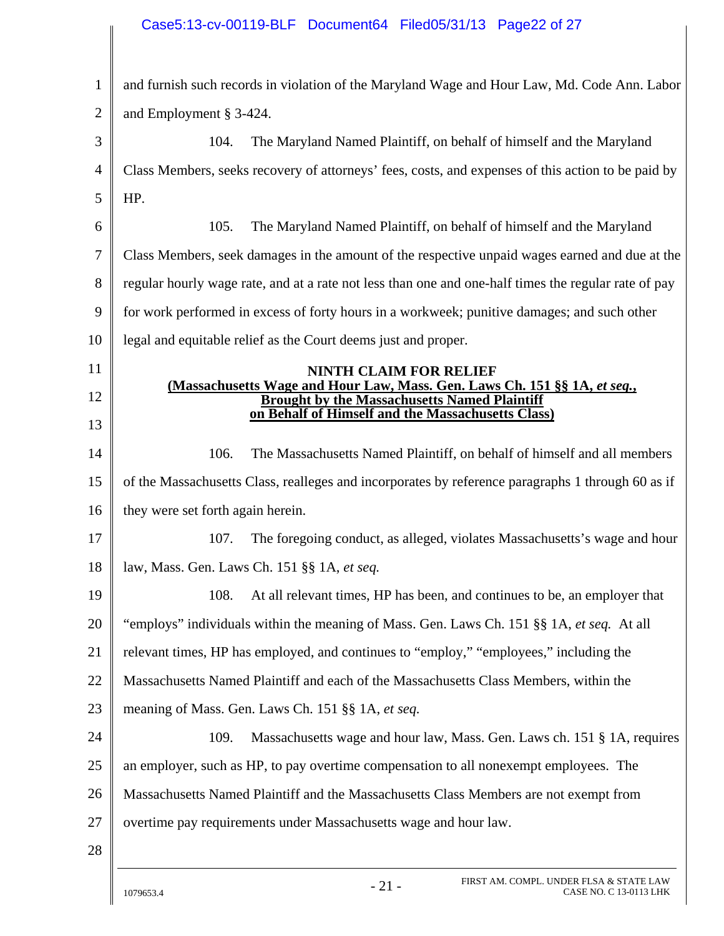# Case5:13-cv-00119-BLF Document64 Filed05/31/13 Page22 of 27

| $\mathbf{1}$   | and furnish such records in violation of the Maryland Wage and Hour Law, Md. Code Ann. Labor                                     |  |  |
|----------------|----------------------------------------------------------------------------------------------------------------------------------|--|--|
| $\overline{2}$ | and Employment § 3-424.                                                                                                          |  |  |
| 3              | 104.<br>The Maryland Named Plaintiff, on behalf of himself and the Maryland                                                      |  |  |
| $\overline{4}$ | Class Members, seeks recovery of attorneys' fees, costs, and expenses of this action to be paid by                               |  |  |
| 5              | HP.                                                                                                                              |  |  |
| 6              | The Maryland Named Plaintiff, on behalf of himself and the Maryland<br>105.                                                      |  |  |
| 7              | Class Members, seek damages in the amount of the respective unpaid wages earned and due at the                                   |  |  |
| 8              | regular hourly wage rate, and at a rate not less than one and one-half times the regular rate of pay                             |  |  |
| 9              | for work performed in excess of forty hours in a workweek; punitive damages; and such other                                      |  |  |
| 10             | legal and equitable relief as the Court deems just and proper.                                                                   |  |  |
| 11             | <b>NINTH CLAIM FOR RELIEF</b>                                                                                                    |  |  |
| 12             | (Massachusetts Wage and Hour Law, Mass. Gen. Laws Ch. 151 §§ 1A, et seq.,<br><b>Brought by the Massachusetts Named Plaintiff</b> |  |  |
| 13             | on Behalf of Himself and the Massachusetts Class)                                                                                |  |  |
| 14             | The Massachusetts Named Plaintiff, on behalf of himself and all members<br>106.                                                  |  |  |
| 15             | of the Massachusetts Class, realleges and incorporates by reference paragraphs 1 through 60 as if                                |  |  |
| 16             | they were set forth again herein.                                                                                                |  |  |
| 17             | 107.<br>The foregoing conduct, as alleged, violates Massachusetts's wage and hour                                                |  |  |
| 18             | law, Mass. Gen. Laws Ch. 151 §§ 1A, et seq.                                                                                      |  |  |
| 19             | 108.<br>At all relevant times, HP has been, and continues to be, an employer that                                                |  |  |
| 20             | "employs" individuals within the meaning of Mass. Gen. Laws Ch. 151 §§ 1A, et seq. At all                                        |  |  |
| 21             | relevant times, HP has employed, and continues to "employ," "employees," including the                                           |  |  |
| 22             | Massachusetts Named Plaintiff and each of the Massachusetts Class Members, within the                                            |  |  |
| 23             | meaning of Mass. Gen. Laws Ch. 151 §§ 1A, et seq.                                                                                |  |  |
| 24             | Massachusetts wage and hour law, Mass. Gen. Laws ch. 151 § 1A, requires<br>109.                                                  |  |  |
| 25             | an employer, such as HP, to pay overtime compensation to all nonexempt employees. The                                            |  |  |
| 26             | Massachusetts Named Plaintiff and the Massachusetts Class Members are not exempt from                                            |  |  |
| 27             | overtime pay requirements under Massachusetts wage and hour law.                                                                 |  |  |
| 28             |                                                                                                                                  |  |  |
|                |                                                                                                                                  |  |  |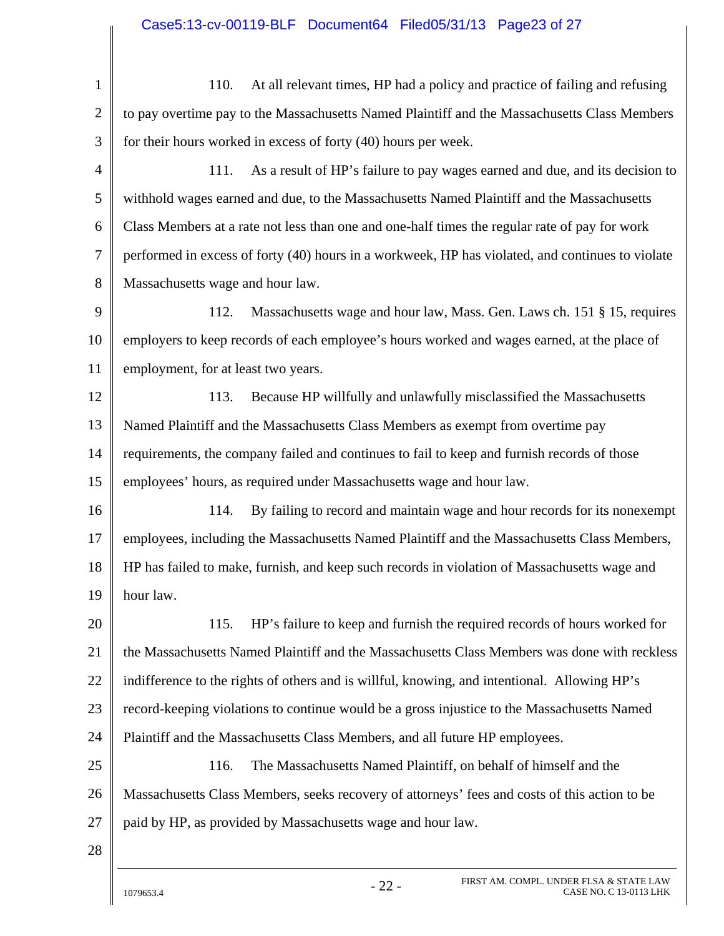| $\mathbf{1}$     | At all relevant times, HP had a policy and practice of failing and refusing<br>110.              |  |  |
|------------------|--------------------------------------------------------------------------------------------------|--|--|
| $\overline{2}$   | to pay overtime pay to the Massachusetts Named Plaintiff and the Massachusetts Class Members     |  |  |
| 3                | for their hours worked in excess of forty (40) hours per week.                                   |  |  |
| $\overline{4}$   | 111.<br>As a result of HP's failure to pay wages earned and due, and its decision to             |  |  |
| 5                | withhold wages earned and due, to the Massachusetts Named Plaintiff and the Massachusetts        |  |  |
| 6                | Class Members at a rate not less than one and one-half times the regular rate of pay for work    |  |  |
| $\boldsymbol{7}$ | performed in excess of forty (40) hours in a workweek, HP has violated, and continues to violate |  |  |
| 8                | Massachusetts wage and hour law.                                                                 |  |  |
| 9                | 112.<br>Massachusetts wage and hour law, Mass. Gen. Laws ch. 151 § 15, requires                  |  |  |
| 10               | employers to keep records of each employee's hours worked and wages earned, at the place of      |  |  |
| 11               | employment, for at least two years.                                                              |  |  |
| 12               | 113.<br>Because HP willfully and unlawfully misclassified the Massachusetts                      |  |  |
| 13               | Named Plaintiff and the Massachusetts Class Members as exempt from overtime pay                  |  |  |
| 14               | requirements, the company failed and continues to fail to keep and furnish records of those      |  |  |
| 15               | employees' hours, as required under Massachusetts wage and hour law.                             |  |  |
| 16               | 114.<br>By failing to record and maintain wage and hour records for its nonexempt                |  |  |
| 17               | employees, including the Massachusetts Named Plaintiff and the Massachusetts Class Members,      |  |  |
| 18               | HP has failed to make, furnish, and keep such records in violation of Massachusetts wage and     |  |  |
| 19               | hour law.                                                                                        |  |  |
| 20               | HP's failure to keep and furnish the required records of hours worked for<br>115.                |  |  |
| 21               | the Massachusetts Named Plaintiff and the Massachusetts Class Members was done with reckless     |  |  |
| 22               | indifference to the rights of others and is willful, knowing, and intentional. Allowing HP's     |  |  |
| 23               | record-keeping violations to continue would be a gross injustice to the Massachusetts Named      |  |  |
| 24               | Plaintiff and the Massachusetts Class Members, and all future HP employees.                      |  |  |
| 25               | The Massachusetts Named Plaintiff, on behalf of himself and the<br>116.                          |  |  |
| 26               | Massachusetts Class Members, seeks recovery of attorneys' fees and costs of this action to be    |  |  |
| 27               | paid by HP, as provided by Massachusetts wage and hour law.                                      |  |  |
| 28               |                                                                                                  |  |  |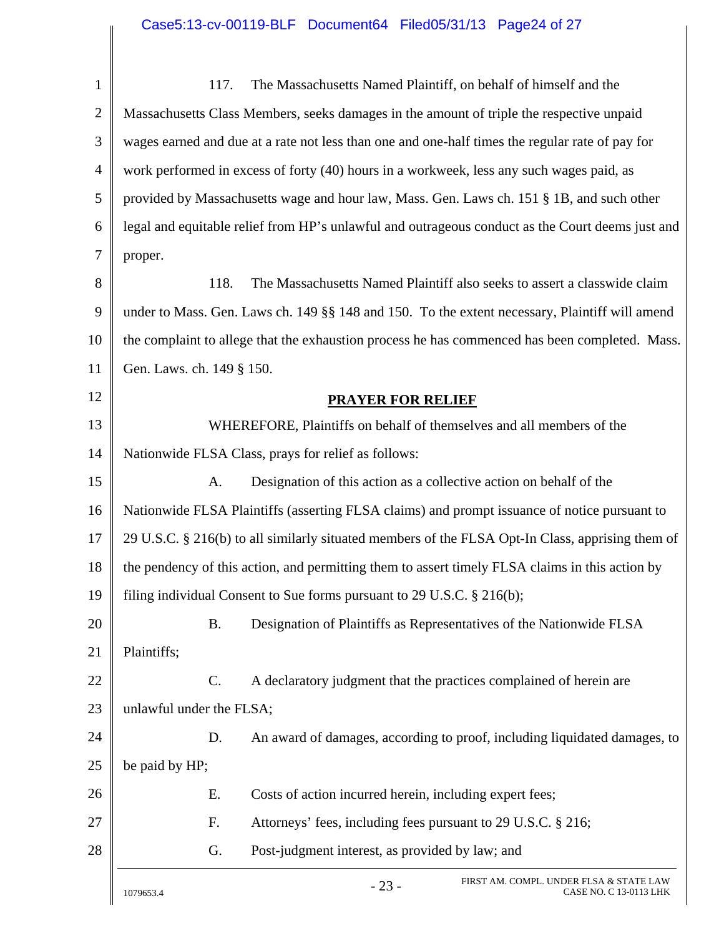| $\mathbf{1}$   | The Massachusetts Named Plaintiff, on behalf of himself and the<br>117.                          |
|----------------|--------------------------------------------------------------------------------------------------|
| $\overline{2}$ | Massachusetts Class Members, seeks damages in the amount of triple the respective unpaid         |
| 3              | wages earned and due at a rate not less than one and one-half times the regular rate of pay for  |
| $\overline{4}$ | work performed in excess of forty (40) hours in a workweek, less any such wages paid, as         |
| 5              | provided by Massachusetts wage and hour law, Mass. Gen. Laws ch. 151 § 1B, and such other        |
| 6              | legal and equitable relief from HP's unlawful and outrageous conduct as the Court deems just and |
| 7              | proper.                                                                                          |
| 8              | 118.<br>The Massachusetts Named Plaintiff also seeks to assert a classwide claim                 |
| 9              | under to Mass. Gen. Laws ch. 149 §§ 148 and 150. To the extent necessary, Plaintiff will amend   |
| 10             | the complaint to allege that the exhaustion process he has commenced has been completed. Mass.   |
| 11             | Gen. Laws. ch. 149 § 150.                                                                        |
| 12             | <b>PRAYER FOR RELIEF</b>                                                                         |
| 13             | WHEREFORE, Plaintiffs on behalf of themselves and all members of the                             |
| 14             | Nationwide FLSA Class, prays for relief as follows:                                              |
| 15             | Designation of this action as a collective action on behalf of the<br>A.                         |
| 16             | Nationwide FLSA Plaintiffs (asserting FLSA claims) and prompt issuance of notice pursuant to     |
| 17             | 29 U.S.C. § 216(b) to all similarly situated members of the FLSA Opt-In Class, apprising them of |
| 18             | the pendency of this action, and permitting them to assert timely FLSA claims in this action by  |
| 19             | filing individual Consent to Sue forms pursuant to 29 U.S.C. § 216(b);                           |
| 20             | Designation of Plaintiffs as Representatives of the Nationwide FLSA<br><b>B.</b>                 |
| 21             | Plaintiffs;                                                                                      |
| 22             | C.<br>A declaratory judgment that the practices complained of herein are                         |
| 23             | unlawful under the FLSA;                                                                         |
| 24             | An award of damages, according to proof, including liquidated damages, to<br>D.                  |
| 25             | be paid by HP;                                                                                   |
| 26             | Costs of action incurred herein, including expert fees;<br>Ε.                                    |
| 27             | Attorneys' fees, including fees pursuant to 29 U.S.C. § 216;<br>F.                               |
| 28             | G.<br>Post-judgment interest, as provided by law; and                                            |
|                | FIRST AM. COMPL. UNDER FLSA & STATE LAW<br>$-23-$<br>CASE NO. C 13-0113 LHK<br>1079653.4         |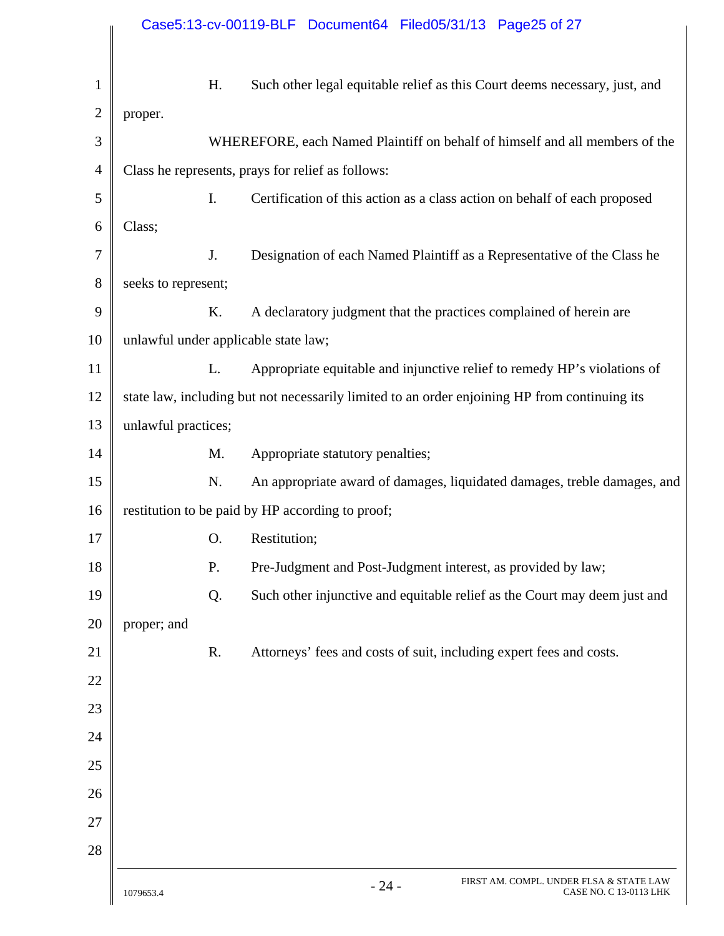# Case5:13-cv-00119-BLF Document64 Filed05/31/13 Page25 of 27

| $\mathbf{1}$   | H.                                                                          | Such other legal equitable relief as this Court deems necessary, just, and                    |  |  |  |
|----------------|-----------------------------------------------------------------------------|-----------------------------------------------------------------------------------------------|--|--|--|
| $\mathbf{2}$   | proper.                                                                     |                                                                                               |  |  |  |
| 3              | WHEREFORE, each Named Plaintiff on behalf of himself and all members of the |                                                                                               |  |  |  |
| $\overline{4}$ |                                                                             | Class he represents, prays for relief as follows:                                             |  |  |  |
| 5              | Ι.                                                                          | Certification of this action as a class action on behalf of each proposed                     |  |  |  |
| 6              | Class;                                                                      |                                                                                               |  |  |  |
| 7              | J.                                                                          | Designation of each Named Plaintiff as a Representative of the Class he                       |  |  |  |
| 8              | seeks to represent;                                                         |                                                                                               |  |  |  |
| 9              | Κ.                                                                          | A declaratory judgment that the practices complained of herein are                            |  |  |  |
| 10             | unlawful under applicable state law;                                        |                                                                                               |  |  |  |
| 11             | L.                                                                          | Appropriate equitable and injunctive relief to remedy HP's violations of                      |  |  |  |
| 12             |                                                                             | state law, including but not necessarily limited to an order enjoining HP from continuing its |  |  |  |
| 13             | unlawful practices;                                                         |                                                                                               |  |  |  |
| 14             | M.                                                                          | Appropriate statutory penalties;                                                              |  |  |  |
| 15             | N.                                                                          | An appropriate award of damages, liquidated damages, treble damages, and                      |  |  |  |
| 16             |                                                                             | restitution to be paid by HP according to proof;                                              |  |  |  |
| 17             | O.                                                                          | Restitution;                                                                                  |  |  |  |
| 18             | P.                                                                          | Pre-Judgment and Post-Judgment interest, as provided by law;                                  |  |  |  |
| 19             | Q.                                                                          | Such other injunctive and equitable relief as the Court may deem just and                     |  |  |  |
| 20             | proper; and                                                                 |                                                                                               |  |  |  |
| 21             | R.                                                                          | Attorneys' fees and costs of suit, including expert fees and costs.                           |  |  |  |
| 22             |                                                                             |                                                                                               |  |  |  |
| 23             |                                                                             |                                                                                               |  |  |  |
| 24             |                                                                             |                                                                                               |  |  |  |
| 25             |                                                                             |                                                                                               |  |  |  |
| 26             |                                                                             |                                                                                               |  |  |  |
| 27             |                                                                             |                                                                                               |  |  |  |
| 28             |                                                                             |                                                                                               |  |  |  |
|                |                                                                             | FIRST AM. COMPL. UNDER FLSA & STATE LAW                                                       |  |  |  |
|                | 1079653.4                                                                   | $-24-$<br>CASE NO. C 13-0113 LHK                                                              |  |  |  |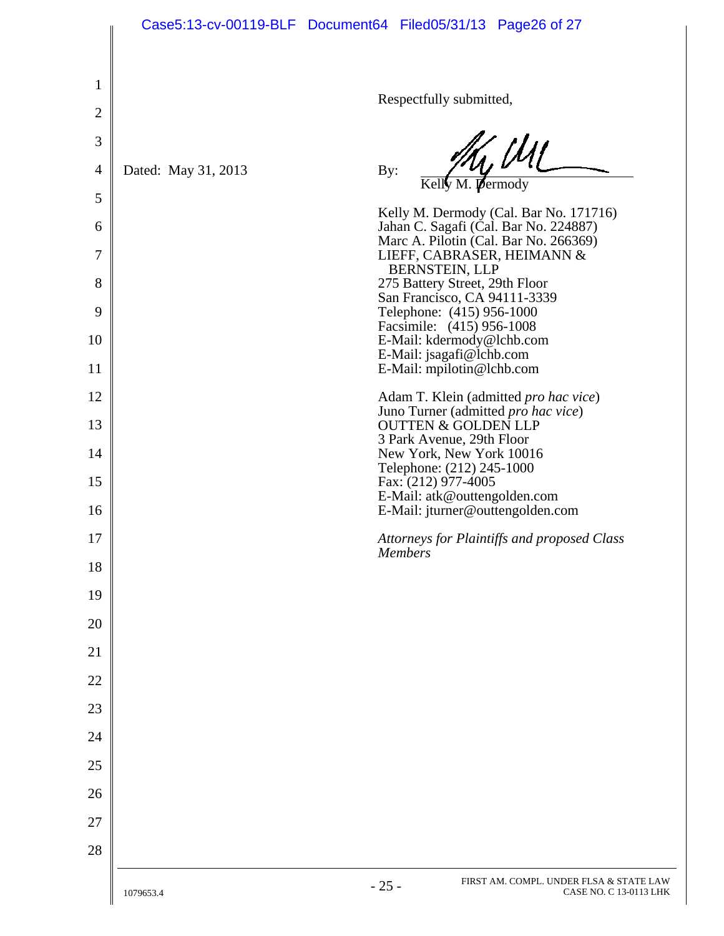|                |                     | Case5:13-cv-00119-BLF Document64 Filed05/31/13 Page26 of 27                     |
|----------------|---------------------|---------------------------------------------------------------------------------|
| 1              |                     |                                                                                 |
| $\overline{2}$ |                     | Respectfully submitted,                                                         |
| 3              |                     |                                                                                 |
| $\overline{4}$ | Dated: May 31, 2013 | My ULL                                                                          |
| 5              |                     | By:                                                                             |
| 6              |                     | Kelly M. Dermody (Cal. Bar No. 171716)<br>Jahan C. Sagafi (Cal. Bar No. 224887) |
| 7              |                     | Marc A. Pilotin (Cal. Bar No. 266369)<br>LIEFF, CABRASER, HEIMANN &             |
| 8              |                     | <b>BERNSTEIN, LLP</b><br>275 Battery Street, 29th Floor                         |
| 9              |                     | San Francisco, CA 94111-3339<br>Telephone: (415) 956-1000                       |
| 10             |                     | Facsimile: (415) 956-1008<br>E-Mail: kdermody@lchb.com                          |
| 11             |                     | E-Mail: jsagafi@lchb.com<br>E-Mail: mpilotin@lchb.com                           |
| 12             |                     | Adam T. Klein (admitted pro hac vice)                                           |
| 13             |                     | Juno Turner (admitted pro hac vice)<br><b>OUTTEN &amp; GOLDEN LLP</b>           |
| 14             |                     | 3 Park Avenue, 29th Floor<br>New York, New York 10016                           |
| 15             |                     | Telephone: (212) 245-1000<br>Fax: (212) 977-4005                                |
| 16             |                     | E-Mail: atk@outtengolden.com<br>E-Mail: jturner@outtengolden.com                |
| 17             |                     | Attorneys for Plaintiffs and proposed Class                                     |
| 18             |                     | <b>Members</b>                                                                  |
| 19             |                     |                                                                                 |
| 20             |                     |                                                                                 |
| 21             |                     |                                                                                 |
| 22             |                     |                                                                                 |
| 23             |                     |                                                                                 |
| 24             |                     |                                                                                 |
| 25             |                     |                                                                                 |
| 26             |                     |                                                                                 |
| 27             |                     |                                                                                 |
| 28             |                     |                                                                                 |
|                | 1079653.4           | FIRST AM. COMPL. UNDER FLSA & STATE LAW<br>$-25-$<br>CASE NO. C 13-0113 LHK     |

∥